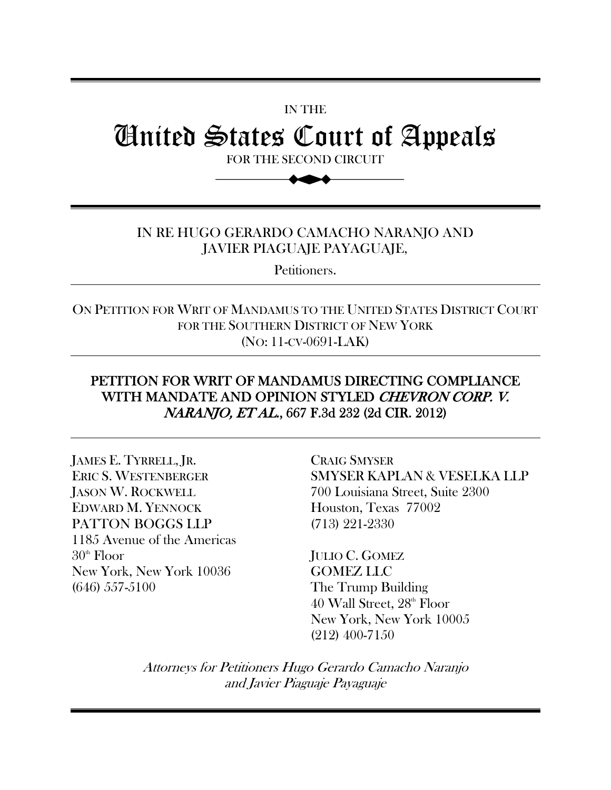# United States Court of Appeals

IN THE

FOR THE SECOND CIRCUIT

►▲

#### IN RE HUGO GERARDO CAMACHO NARANJO AND JAVIER PIAGUAJE PAYAGUAJE,

Petitioners.

ON PETITION FOR WRIT OF MANDAMUS TO THE UNITED STATES DISTRICT COURT FOR THE SOUTHERN DISTRICT OF NEW YORK (NO: 11-CV-0691-LAK)

### PETITION FOR WRIT OF MANDAMUS DIRECTING COMPLIANCE WITH MANDATE AND OPINION STYLED CHEVRON CORP. V. NARANJO, ET AL., 667 F.3d 232 (2d CIR. 2012)

JAMES E. TYRRELL, JR. ERIC S. WESTENBERGER JASON W. ROCKWELL EDWARD M. YENNOCK PATTON BOGGS LLP 1185 Avenue of the Americas  $30<sup>th</sup>$  Floor New York, New York 10036 (646) 557-5100

CRAIG SMYSER SMYSER KAPLAN & VESELKA LLP 700 Louisiana Street, Suite 2300 Houston, Texas 77002 (713) 221-2330

JULIO C. GOMEZ GOMEZ LLC The Trump Building  $40$  Wall Street,  $28<sup>th</sup>$  Floor New York, New York 10005 (212) 400-7150

Attorneys for Petitioners Hugo Gerardo Camacho Naranjo and Javier Piaguaje Payaguaje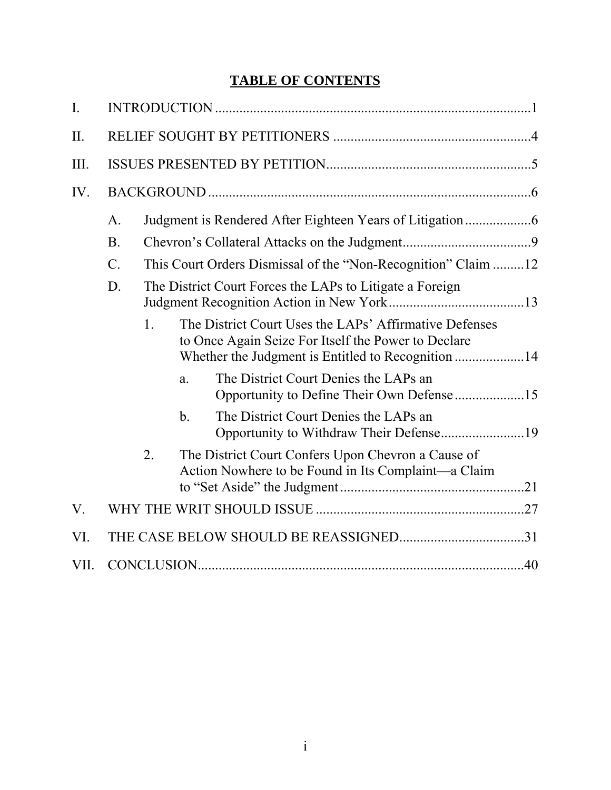## **TABLE OF CONTENTS**

| $\mathbf{I}$ . |                                                                                  |                                                          |     |                                                                                                               |  |  |  |
|----------------|----------------------------------------------------------------------------------|----------------------------------------------------------|-----|---------------------------------------------------------------------------------------------------------------|--|--|--|
| II.            |                                                                                  |                                                          |     |                                                                                                               |  |  |  |
| III.           |                                                                                  |                                                          |     |                                                                                                               |  |  |  |
| IV.            |                                                                                  |                                                          |     |                                                                                                               |  |  |  |
|                | A.                                                                               |                                                          |     |                                                                                                               |  |  |  |
|                | B.                                                                               |                                                          |     |                                                                                                               |  |  |  |
|                | This Court Orders Dismissal of the "Non-Recognition" Claim 12<br>$\mathcal{C}$ . |                                                          |     |                                                                                                               |  |  |  |
|                | D.                                                                               | The District Court Forces the LAPs to Litigate a Foreign |     |                                                                                                               |  |  |  |
|                |                                                                                  | $\mathbf{1}$ .                                           |     | The District Court Uses the LAPs' Affirmative Defenses<br>to Once Again Seize For Itself the Power to Declare |  |  |  |
|                |                                                                                  |                                                          | a.  | The District Court Denies the LAPs an<br>Opportunity to Define Their Own Defense 15                           |  |  |  |
|                |                                                                                  |                                                          | $b$ | The District Court Denies the LAPs an<br>Opportunity to Withdraw Their Defense19                              |  |  |  |
|                |                                                                                  | 2.                                                       |     | The District Court Confers Upon Chevron a Cause of<br>Action Nowhere to be Found in Its Complaint—a Claim     |  |  |  |
| V.             |                                                                                  |                                                          |     |                                                                                                               |  |  |  |
| VI.            |                                                                                  |                                                          |     |                                                                                                               |  |  |  |
| VII.           |                                                                                  |                                                          |     |                                                                                                               |  |  |  |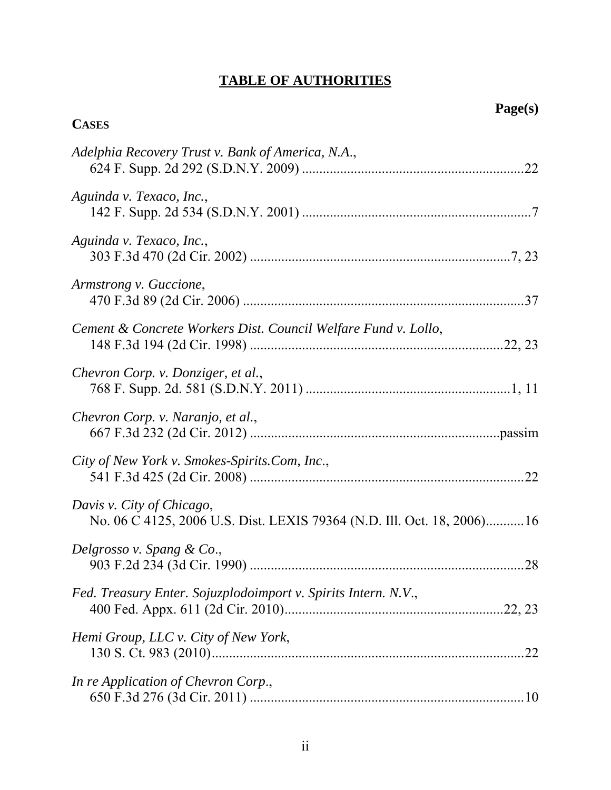# **TABLE OF AUTHORITIES**

**CASES**

| Adelphia Recovery Trust v. Bank of America, N.A.,                                                   |
|-----------------------------------------------------------------------------------------------------|
| Aguinda v. Texaco, Inc.,                                                                            |
| Aguinda v. Texaco, Inc.,                                                                            |
| Armstrong v. Guccione,                                                                              |
| Cement & Concrete Workers Dist. Council Welfare Fund v. Lollo,                                      |
| Chevron Corp. v. Donziger, et al.,                                                                  |
| Chevron Corp. v. Naranjo, et al.,                                                                   |
| City of New York v. Smokes-Spirits.Com, Inc.,                                                       |
| Davis v. City of Chicago,<br>No. 06 C 4125, 2006 U.S. Dist. LEXIS 79364 (N.D. Ill. Oct. 18, 2006)16 |
| Delgrosso v. Spang & Co.,                                                                           |
| Fed. Treasury Enter. Sojuzplodoimport v. Spirits Intern. N.V.,                                      |
| Hemi Group, LLC v. City of New York,                                                                |
| In re Application of Chevron Corp.,                                                                 |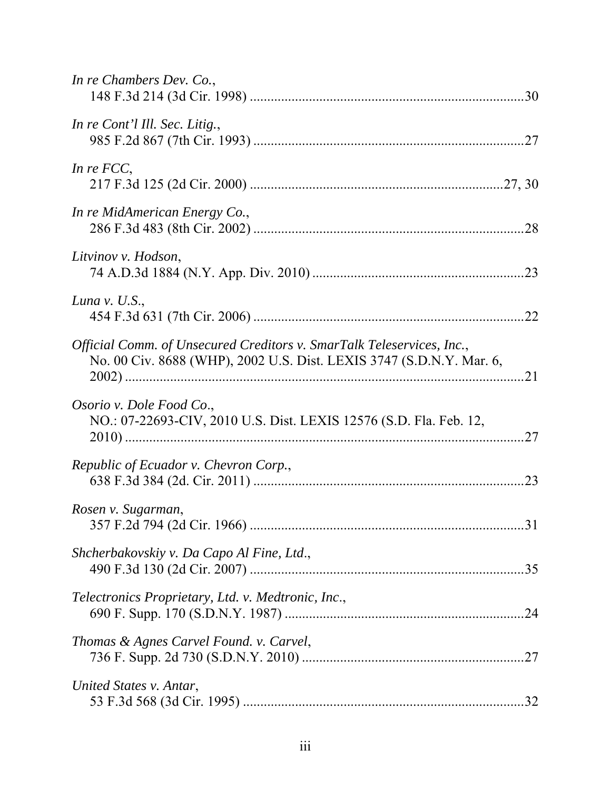| In re Chambers Dev. Co.,                                                                                                                      |     |
|-----------------------------------------------------------------------------------------------------------------------------------------------|-----|
| In re Cont'l Ill. Sec. Litig.,                                                                                                                |     |
| In re $FCC$ ,                                                                                                                                 |     |
| In re MidAmerican Energy Co.,                                                                                                                 |     |
| Litvinov v. Hodson,                                                                                                                           |     |
| Luna v. $U.S.,$                                                                                                                               | .22 |
| Official Comm. of Unsecured Creditors v. SmarTalk Teleservices, Inc.,<br>No. 00 Civ. 8688 (WHP), 2002 U.S. Dist. LEXIS 3747 (S.D.N.Y. Mar. 6, |     |
| Osorio v. Dole Food Co.,<br>NO.: 07-22693-CIV, 2010 U.S. Dist. LEXIS 12576 (S.D. Fla. Feb. 12,                                                | .27 |
| Republic of Ecuador v. Chevron Corp.,                                                                                                         | 23  |
| Rosen v. Sugarman,                                                                                                                            |     |
| Shcherbakovskiy v. Da Capo Al Fine, Ltd.,                                                                                                     |     |
| Telectronics Proprietary, Ltd. v. Medtronic, Inc.,                                                                                            |     |
| Thomas & Agnes Carvel Found. v. Carvel,                                                                                                       |     |
| United States v. Antar,                                                                                                                       |     |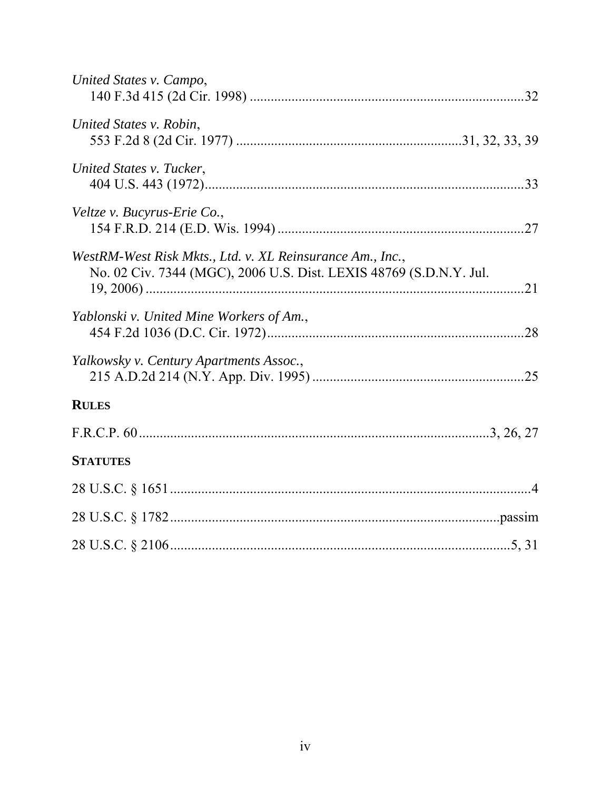| United States v. Campo,                                                                                                         |  |
|---------------------------------------------------------------------------------------------------------------------------------|--|
| United States v. Robin,                                                                                                         |  |
| United States v. Tucker,                                                                                                        |  |
| Veltze v. Bucyrus-Erie Co.,                                                                                                     |  |
| WestRM-West Risk Mkts., Ltd. v. XL Reinsurance Am., Inc.,<br>No. 02 Civ. 7344 (MGC), 2006 U.S. Dist. LEXIS 48769 (S.D.N.Y. Jul. |  |
| Yablonski v. United Mine Workers of Am.,                                                                                        |  |
| Yalkowsky v. Century Apartments Assoc.,                                                                                         |  |
| <b>RULES</b>                                                                                                                    |  |
|                                                                                                                                 |  |
| <b>STATUTES</b>                                                                                                                 |  |
|                                                                                                                                 |  |
|                                                                                                                                 |  |
|                                                                                                                                 |  |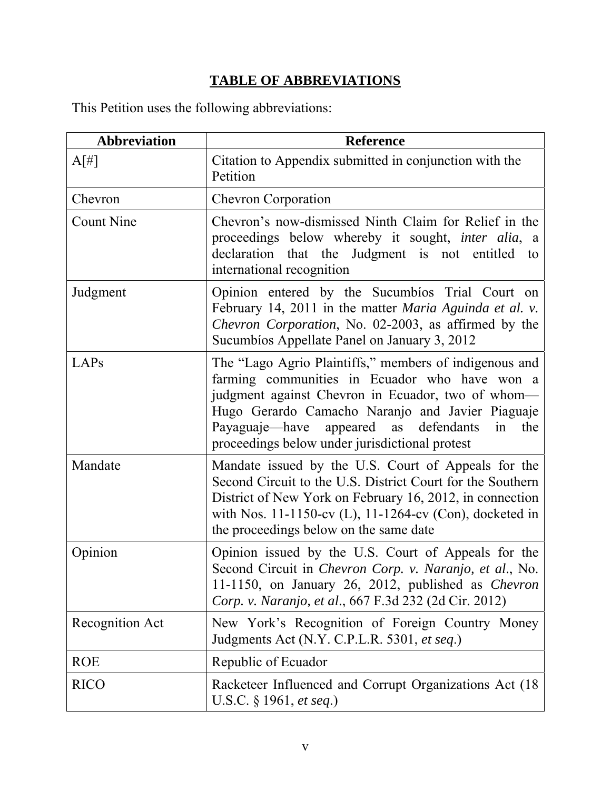# **TABLE OF ABBREVIATIONS**

This Petition uses the following abbreviations:

| <b>Abbreviation</b> | <b>Reference</b>                                                                                                                                                                                                                                                                                                            |
|---------------------|-----------------------------------------------------------------------------------------------------------------------------------------------------------------------------------------------------------------------------------------------------------------------------------------------------------------------------|
| $A[\ddagger]$       | Citation to Appendix submitted in conjunction with the<br>Petition                                                                                                                                                                                                                                                          |
| Chevron             | <b>Chevron Corporation</b>                                                                                                                                                                                                                                                                                                  |
| <b>Count Nine</b>   | Chevron's now-dismissed Ninth Claim for Relief in the<br>proceedings below whereby it sought, <i>inter alia</i> , a<br>declaration that the Judgment is not entitled to<br>international recognition                                                                                                                        |
| Judgment            | Opinion entered by the Sucumbios Trial Court on<br>February 14, 2011 in the matter <i>Maria Aguinda et al. v.</i><br>Chevron Corporation, No. 02-2003, as affirmed by the<br>Sucumbios Appellate Panel on January 3, 2012                                                                                                   |
| LAPs                | The "Lago Agrio Plaintiffs," members of indigenous and<br>farming communities in Ecuador who have won a<br>judgment against Chevron in Ecuador, two of whom-<br>Hugo Gerardo Camacho Naranjo and Javier Piaguaje<br>appeared as defendants<br>Payaguaje—have<br>in<br>the<br>proceedings below under jurisdictional protest |
| Mandate             | Mandate issued by the U.S. Court of Appeals for the<br>Second Circuit to the U.S. District Court for the Southern<br>District of New York on February 16, 2012, in connection<br>with Nos. 11-1150-cv (L), 11-1264-cv (Con), docketed in<br>the proceedings below on the same date                                          |
| Opinion             | Opinion issued by the U.S. Court of Appeals for the<br>Second Circuit in <i>Chevron Corp. v. Naranjo, et al.</i> , No.<br>11-1150, on January 26, 2012, published as <i>Chevron</i><br>Corp. v. Naranjo, et al., 667 F.3d 232 (2d Cir. 2012)                                                                                |
| Recognition Act     | New York's Recognition of Foreign Country Money<br>Judgments Act (N.Y. C.P.L.R. 5301, et seq.)                                                                                                                                                                                                                              |
| <b>ROE</b>          | Republic of Ecuador                                                                                                                                                                                                                                                                                                         |
| <b>RICO</b>         | Racketeer Influenced and Corrupt Organizations Act (18)<br>U.S.C. § 1961, et seq.)                                                                                                                                                                                                                                          |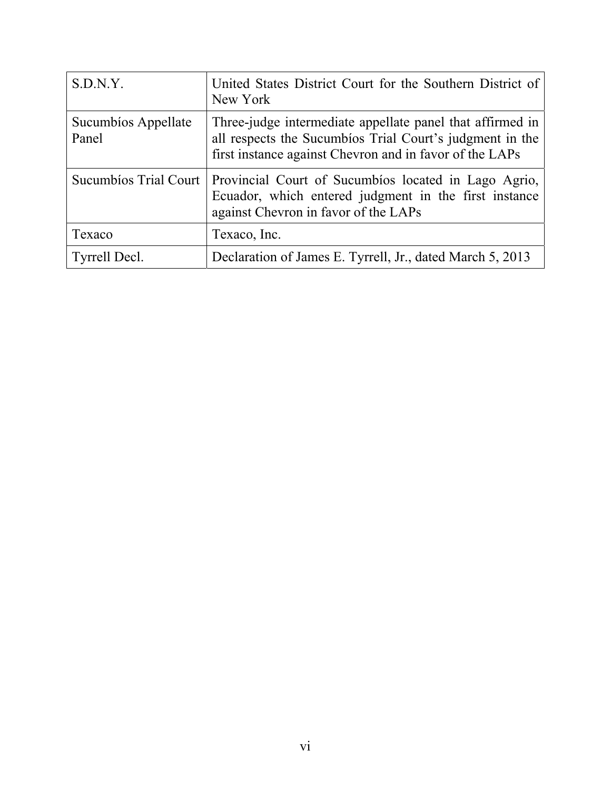| S.D.N.Y.                     | United States District Court for the Southern District of<br>New York                                                                                                            |
|------------------------------|----------------------------------------------------------------------------------------------------------------------------------------------------------------------------------|
| Sucumbios Appellate<br>Panel | Three-judge intermediate appellate panel that affirmed in<br>all respects the Sucumbios Trial Court's judgment in the<br>first instance against Chevron and in favor of the LAPs |
| Sucumbios Trial Court        | Provincial Court of Sucumbios located in Lago Agrio,<br>Ecuador, which entered judgment in the first instance<br>against Chevron in favor of the LAPs                            |
| Texaco                       | Texaco, Inc.                                                                                                                                                                     |
| Tyrrell Decl.                | Declaration of James E. Tyrrell, Jr., dated March 5, 2013                                                                                                                        |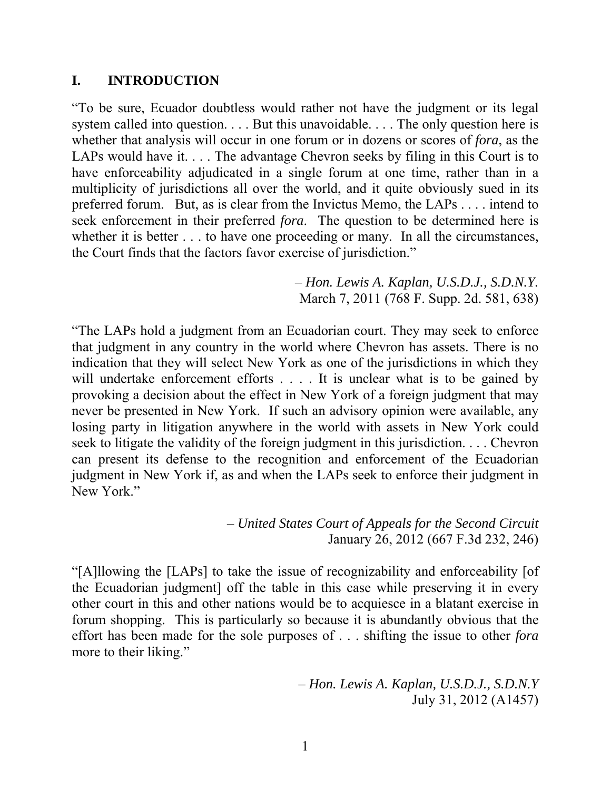#### **I. INTRODUCTION**

"To be sure, Ecuador doubtless would rather not have the judgment or its legal system called into question. . . . But this unavoidable. . . . The only question here is whether that analysis will occur in one forum or in dozens or scores of *fora*, as the LAPs would have it. . . . The advantage Chevron seeks by filing in this Court is to have enforceability adjudicated in a single forum at one time, rather than in a multiplicity of jurisdictions all over the world, and it quite obviously sued in its preferred forum. But, as is clear from the Invictus Memo, the LAPs . . . . intend to seek enforcement in their preferred *fora*. The question to be determined here is whether it is better . . . to have one proceeding or many. In all the circumstances, the Court finds that the factors favor exercise of jurisdiction."

> – *Hon. Lewis A. Kaplan, U.S.D.J., S.D.N.Y.* March 7, 2011 (768 F. Supp. 2d. 581, 638)

"The LAPs hold a judgment from an Ecuadorian court. They may seek to enforce that judgment in any country in the world where Chevron has assets. There is no indication that they will select New York as one of the jurisdictions in which they will undertake enforcement efforts . . . . It is unclear what is to be gained by provoking a decision about the effect in New York of a foreign judgment that may never be presented in New York. If such an advisory opinion were available, any losing party in litigation anywhere in the world with assets in New York could seek to litigate the validity of the foreign judgment in this jurisdiction. . . . Chevron can present its defense to the recognition and enforcement of the Ecuadorian judgment in New York if, as and when the LAPs seek to enforce their judgment in New York."

> – *United States Court of Appeals for the Second Circuit*  January 26, 2012 (667 F.3d 232, 246)

"[A]llowing the [LAPs] to take the issue of recognizability and enforceability [of the Ecuadorian judgment] off the table in this case while preserving it in every other court in this and other nations would be to acquiesce in a blatant exercise in forum shopping. This is particularly so because it is abundantly obvious that the effort has been made for the sole purposes of . . . shifting the issue to other *fora* more to their liking."

> – *Hon. Lewis A. Kaplan, U.S.D.J., S.D.N.Y* July 31, 2012 (A1457)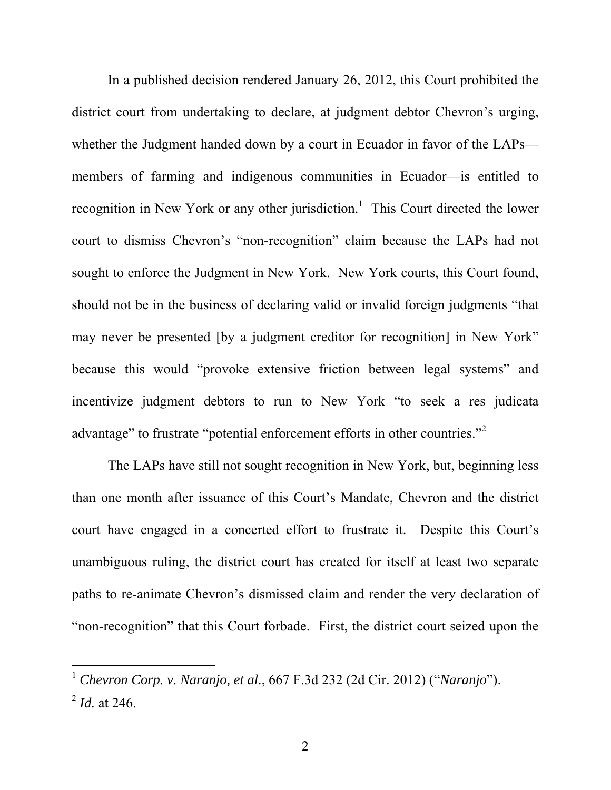In a published decision rendered January 26, 2012, this Court prohibited the district court from undertaking to declare, at judgment debtor Chevron's urging, whether the Judgment handed down by a court in Ecuador in favor of the LAPs members of farming and indigenous communities in Ecuador—is entitled to recognition in New York or any other jurisdiction.<sup>1</sup> This Court directed the lower court to dismiss Chevron's "non-recognition" claim because the LAPs had not sought to enforce the Judgment in New York. New York courts, this Court found, should not be in the business of declaring valid or invalid foreign judgments "that may never be presented [by a judgment creditor for recognition] in New York" because this would "provoke extensive friction between legal systems" and incentivize judgment debtors to run to New York "to seek a res judicata advantage" to frustrate "potential enforcement efforts in other countries."<sup>2</sup>

The LAPs have still not sought recognition in New York, but, beginning less than one month after issuance of this Court's Mandate, Chevron and the district court have engaged in a concerted effort to frustrate it. Despite this Court's unambiguous ruling, the district court has created for itself at least two separate paths to re-animate Chevron's dismissed claim and render the very declaration of "non-recognition" that this Court forbade. First, the district court seized upon the

<sup>1</sup> *Chevron Corp. v. Naranjo, et al.*, 667 F.3d 232 (2d Cir. 2012) ("*Naranjo*").  $^{2}$  *Id.* at 246.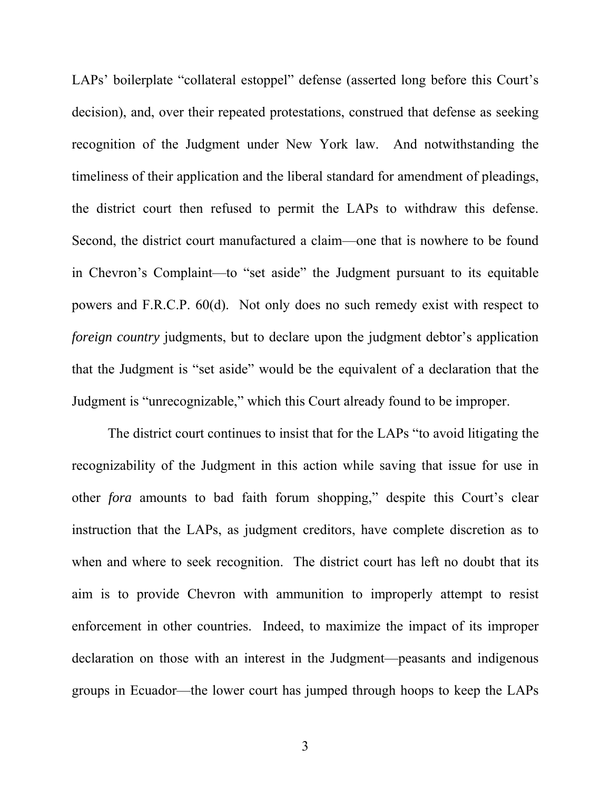LAPs' boilerplate "collateral estoppel" defense (asserted long before this Court's decision), and, over their repeated protestations, construed that defense as seeking recognition of the Judgment under New York law. And notwithstanding the timeliness of their application and the liberal standard for amendment of pleadings, the district court then refused to permit the LAPs to withdraw this defense. Second, the district court manufactured a claim—one that is nowhere to be found in Chevron's Complaint—to "set aside" the Judgment pursuant to its equitable powers and F.R.C.P. 60(d). Not only does no such remedy exist with respect to *foreign country* judgments, but to declare upon the judgment debtor's application that the Judgment is "set aside" would be the equivalent of a declaration that the Judgment is "unrecognizable," which this Court already found to be improper.

The district court continues to insist that for the LAPs "to avoid litigating the recognizability of the Judgment in this action while saving that issue for use in other *fora* amounts to bad faith forum shopping," despite this Court's clear instruction that the LAPs, as judgment creditors, have complete discretion as to when and where to seek recognition. The district court has left no doubt that its aim is to provide Chevron with ammunition to improperly attempt to resist enforcement in other countries. Indeed, to maximize the impact of its improper declaration on those with an interest in the Judgment—peasants and indigenous groups in Ecuador—the lower court has jumped through hoops to keep the LAPs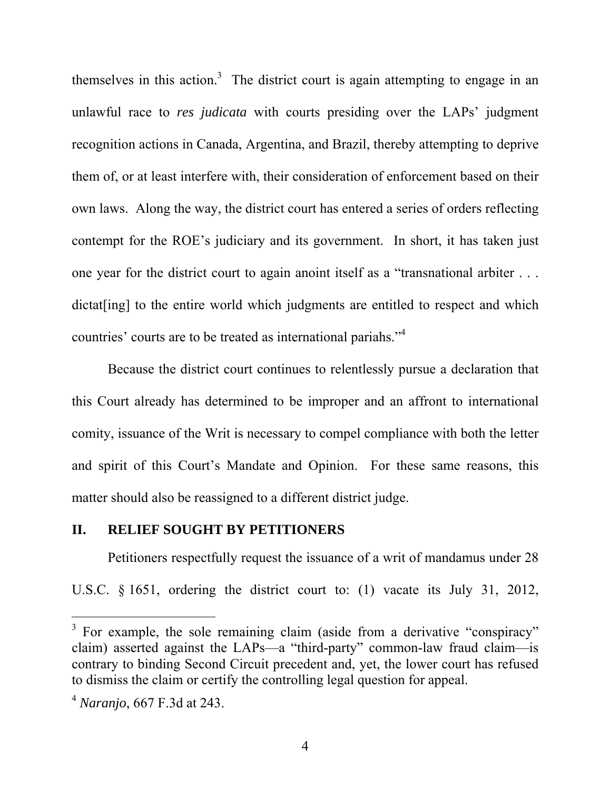themselves in this action.<sup>3</sup> The district court is again attempting to engage in an unlawful race to *res judicata* with courts presiding over the LAPs' judgment recognition actions in Canada, Argentina, and Brazil, thereby attempting to deprive them of, or at least interfere with, their consideration of enforcement based on their own laws. Along the way, the district court has entered a series of orders reflecting contempt for the ROE's judiciary and its government. In short, it has taken just one year for the district court to again anoint itself as a "transnational arbiter . . . dictat[ing] to the entire world which judgments are entitled to respect and which countries' courts are to be treated as international pariahs."<sup>4</sup>

Because the district court continues to relentlessly pursue a declaration that this Court already has determined to be improper and an affront to international comity, issuance of the Writ is necessary to compel compliance with both the letter and spirit of this Court's Mandate and Opinion. For these same reasons, this matter should also be reassigned to a different district judge.

#### **II. RELIEF SOUGHT BY PETITIONERS**

Petitioners respectfully request the issuance of a writ of mandamus under 28 U.S.C. § 1651, ordering the district court to: (1) vacate its July 31, 2012,

<sup>&</sup>lt;sup>3</sup> For example, the sole remaining claim (aside from a derivative "conspiracy" claim) asserted against the LAPs—a "third-party" common-law fraud claim—is contrary to binding Second Circuit precedent and, yet, the lower court has refused to dismiss the claim or certify the controlling legal question for appeal.

<sup>4</sup> *Naranjo*, 667 F.3d at 243.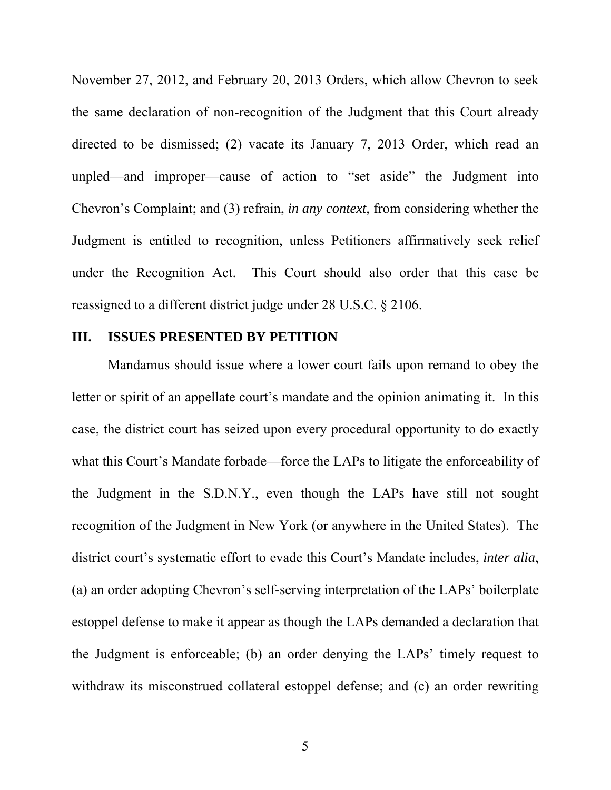November 27, 2012, and February 20, 2013 Orders, which allow Chevron to seek the same declaration of non-recognition of the Judgment that this Court already directed to be dismissed; (2) vacate its January 7, 2013 Order, which read an unpled—and improper—cause of action to "set aside" the Judgment into Chevron's Complaint; and (3) refrain, *in any context*, from considering whether the Judgment is entitled to recognition, unless Petitioners affirmatively seek relief under the Recognition Act. This Court should also order that this case be reassigned to a different district judge under 28 U.S.C. § 2106.

#### **III. ISSUES PRESENTED BY PETITION**

Mandamus should issue where a lower court fails upon remand to obey the letter or spirit of an appellate court's mandate and the opinion animating it. In this case, the district court has seized upon every procedural opportunity to do exactly what this Court's Mandate forbade—force the LAPs to litigate the enforceability of the Judgment in the S.D.N.Y., even though the LAPs have still not sought recognition of the Judgment in New York (or anywhere in the United States). The district court's systematic effort to evade this Court's Mandate includes, *inter alia*, (a) an order adopting Chevron's self-serving interpretation of the LAPs' boilerplate estoppel defense to make it appear as though the LAPs demanded a declaration that the Judgment is enforceable; (b) an order denying the LAPs' timely request to withdraw its misconstrued collateral estoppel defense; and (c) an order rewriting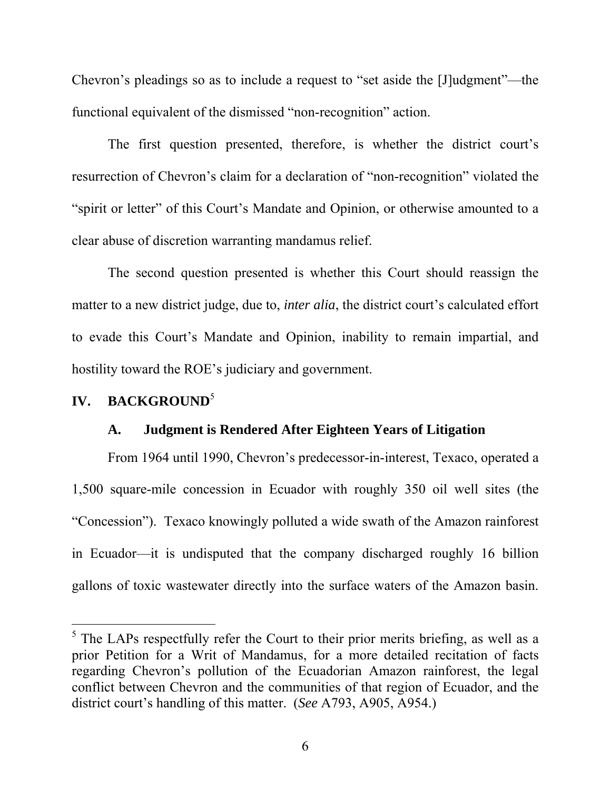Chevron's pleadings so as to include a request to "set aside the [J]udgment"—the functional equivalent of the dismissed "non-recognition" action.

The first question presented, therefore, is whether the district court's resurrection of Chevron's claim for a declaration of "non-recognition" violated the "spirit or letter" of this Court's Mandate and Opinion, or otherwise amounted to a clear abuse of discretion warranting mandamus relief.

The second question presented is whether this Court should reassign the matter to a new district judge, due to, *inter alia*, the district court's calculated effort to evade this Court's Mandate and Opinion, inability to remain impartial, and hostility toward the ROE's judiciary and government.

#### **IV. BACKGROUND**<sup>5</sup>

 $\overline{a}$ 

#### **A. Judgment is Rendered After Eighteen Years of Litigation**

From 1964 until 1990, Chevron's predecessor-in-interest, Texaco, operated a 1,500 square-mile concession in Ecuador with roughly 350 oil well sites (the "Concession"). Texaco knowingly polluted a wide swath of the Amazon rainforest in Ecuador—it is undisputed that the company discharged roughly 16 billion gallons of toxic wastewater directly into the surface waters of the Amazon basin.

 $<sup>5</sup>$  The LAPs respectfully refer the Court to their prior merits briefing, as well as a</sup> prior Petition for a Writ of Mandamus, for a more detailed recitation of facts regarding Chevron's pollution of the Ecuadorian Amazon rainforest, the legal conflict between Chevron and the communities of that region of Ecuador, and the district court's handling of this matter. (*See* A793, A905, A954.)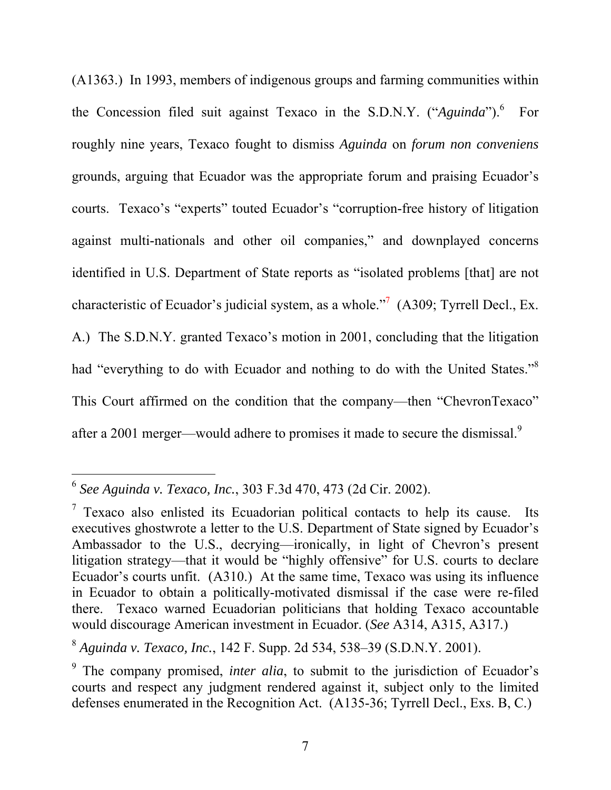(A1363.) In 1993, members of indigenous groups and farming communities within the Concession filed suit against Texaco in the S.D.N.Y. ("*Aguinda*").<sup>6</sup> For roughly nine years, Texaco fought to dismiss *Aguinda* on *forum non conveniens* grounds, arguing that Ecuador was the appropriate forum and praising Ecuador's courts. Texaco's "experts" touted Ecuador's "corruption-free history of litigation against multi-nationals and other oil companies," and downplayed concerns identified in U.S. Department of State reports as "isolated problems [that] are not characteristic of Ecuador's judicial system, as a whole."<sup>7</sup> (A309; Tyrrell Decl., Ex. A.) The S.D.N.Y. granted Texaco's motion in 2001, concluding that the litigation had "everything to do with Ecuador and nothing to do with the United States."<sup>8</sup> This Court affirmed on the condition that the company—then "ChevronTexaco" after a 2001 merger—would adhere to promises it made to secure the dismissal.<sup>9</sup>

<sup>6</sup> *See Aguinda v. Texaco, Inc.*, 303 F.3d 470, 473 (2d Cir. 2002).

<sup>&</sup>lt;sup>7</sup> Texaco also enlisted its Ecuadorian political contacts to help its cause. Its executives ghostwrote a letter to the U.S. Department of State signed by Ecuador's Ambassador to the U.S., decrying—ironically, in light of Chevron's present litigation strategy—that it would be "highly offensive" for U.S. courts to declare Ecuador's courts unfit. (A310.) At the same time, Texaco was using its influence in Ecuador to obtain a politically-motivated dismissal if the case were re-filed there. Texaco warned Ecuadorian politicians that holding Texaco accountable would discourage American investment in Ecuador. (*See* A314, A315, A317.)

<sup>8</sup> *Aguinda v. Texaco, Inc.*, 142 F. Supp. 2d 534, 538–39 (S.D.N.Y. 2001).

<sup>&</sup>lt;sup>9</sup> The company promised, *inter alia*, to submit to the jurisdiction of Ecuador's courts and respect any judgment rendered against it, subject only to the limited defenses enumerated in the Recognition Act. (A135-36; Tyrrell Decl., Exs. B, C.)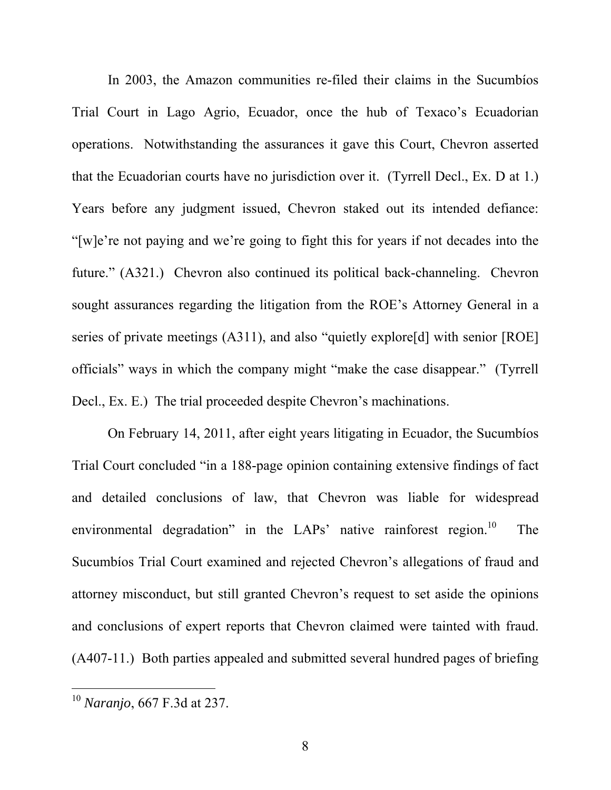In 2003, the Amazon communities re-filed their claims in the Sucumbíos Trial Court in Lago Agrio, Ecuador, once the hub of Texaco's Ecuadorian operations. Notwithstanding the assurances it gave this Court, Chevron asserted that the Ecuadorian courts have no jurisdiction over it. (Tyrrell Decl., Ex. D at 1.) Years before any judgment issued, Chevron staked out its intended defiance: "[w]e're not paying and we're going to fight this for years if not decades into the future." (A321.) Chevron also continued its political back-channeling. Chevron sought assurances regarding the litigation from the ROE's Attorney General in a series of private meetings (A311), and also "quietly explore[d] with senior [ROE] officials" ways in which the company might "make the case disappear." (Tyrrell Decl., Ex. E.) The trial proceeded despite Chevron's machinations.

On February 14, 2011, after eight years litigating in Ecuador, the Sucumbíos Trial Court concluded "in a 188-page opinion containing extensive findings of fact and detailed conclusions of law, that Chevron was liable for widespread environmental degradation" in the LAPs' native rainforest region.<sup>10</sup> The Sucumbíos Trial Court examined and rejected Chevron's allegations of fraud and attorney misconduct, but still granted Chevron's request to set aside the opinions and conclusions of expert reports that Chevron claimed were tainted with fraud. (A407-11.) Both parties appealed and submitted several hundred pages of briefing

<sup>10</sup> *Naranjo*, 667 F.3d at 237.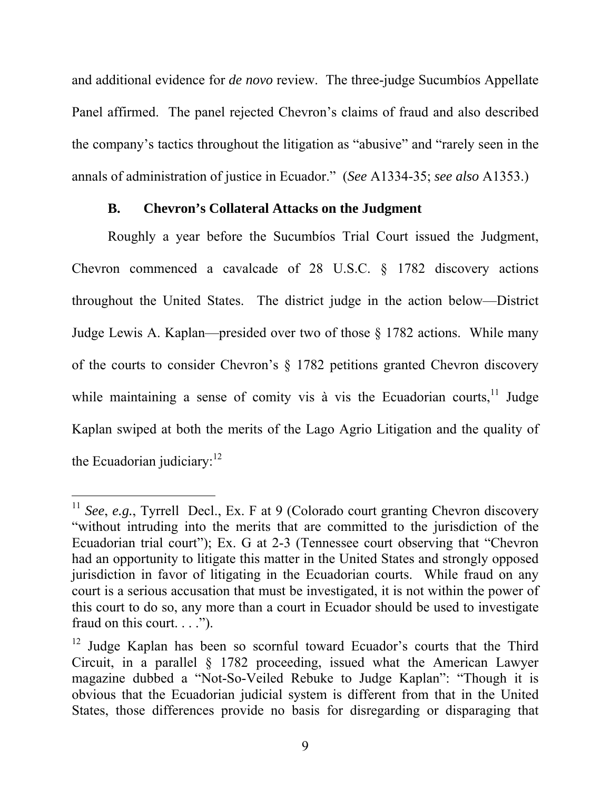and additional evidence for *de novo* review. The three-judge Sucumbíos Appellate Panel affirmed. The panel rejected Chevron's claims of fraud and also described the company's tactics throughout the litigation as "abusive" and "rarely seen in the annals of administration of justice in Ecuador." (*See* A1334-35; *see also* A1353.)

#### **B. Chevron's Collateral Attacks on the Judgment**

Roughly a year before the Sucumbíos Trial Court issued the Judgment, Chevron commenced a cavalcade of 28 U.S.C. § 1782 discovery actions throughout the United States. The district judge in the action below—District Judge Lewis A. Kaplan—presided over two of those § 1782 actions. While many of the courts to consider Chevron's § 1782 petitions granted Chevron discovery while maintaining a sense of comity vis à vis the Ecuadorian courts, $11$  Judge Kaplan swiped at both the merits of the Lago Agrio Litigation and the quality of the Ecuadorian judiciary: $12$ 

<sup>&</sup>lt;sup>11</sup> *See*, *e.g.*, Tyrrell Decl., Ex. F at 9 (Colorado court granting Chevron discovery "without intruding into the merits that are committed to the jurisdiction of the Ecuadorian trial court"); Ex. G at 2-3 (Tennessee court observing that "Chevron had an opportunity to litigate this matter in the United States and strongly opposed jurisdiction in favor of litigating in the Ecuadorian courts. While fraud on any court is a serious accusation that must be investigated, it is not within the power of this court to do so, any more than a court in Ecuador should be used to investigate fraud on this court. . . .").

<sup>&</sup>lt;sup>12</sup> Judge Kaplan has been so scornful toward Ecuador's courts that the Third Circuit, in a parallel § 1782 proceeding, issued what the American Lawyer magazine dubbed a "Not-So-Veiled Rebuke to Judge Kaplan": "Though it is obvious that the Ecuadorian judicial system is different from that in the United States, those differences provide no basis for disregarding or disparaging that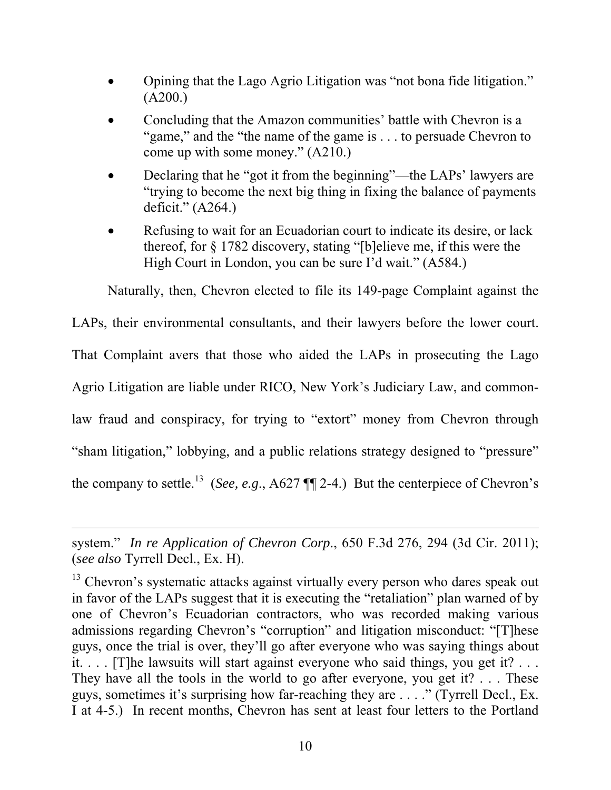- Opining that the Lago Agrio Litigation was "not bona fide litigation." (A200.)
- Concluding that the Amazon communities' battle with Chevron is a "game," and the "the name of the game is . . . to persuade Chevron to come up with some money." (A210.)
- Declaring that he "got it from the beginning"—the LAPs' lawyers are "trying to become the next big thing in fixing the balance of payments deficit." (A264.)
- Refusing to wait for an Ecuadorian court to indicate its desire, or lack thereof, for § 1782 discovery, stating "[b]elieve me, if this were the High Court in London, you can be sure I'd wait." (A584.)

Naturally, then, Chevron elected to file its 149-page Complaint against the

LAPs, their environmental consultants, and their lawyers before the lower court. That Complaint avers that those who aided the LAPs in prosecuting the Lago Agrio Litigation are liable under RICO, New York's Judiciary Law, and commonlaw fraud and conspiracy, for trying to "extort" money from Chevron through "sham litigation," lobbying, and a public relations strategy designed to "pressure" the company to settle.<sup>13</sup> (*See, e.g.,* A627  $\P\P$  2-4.) But the centerpiece of Chevron's

system." *In re Application of Chevron Corp*., 650 F.3d 276, 294 (3d Cir. 2011); (*see also* Tyrrell Decl., Ex. H).

<sup>&</sup>lt;sup>13</sup> Chevron's systematic attacks against virtually every person who dares speak out in favor of the LAPs suggest that it is executing the "retaliation" plan warned of by one of Chevron's Ecuadorian contractors, who was recorded making various admissions regarding Chevron's "corruption" and litigation misconduct: "[T]hese guys, once the trial is over, they'll go after everyone who was saying things about it. . . . [T]he lawsuits will start against everyone who said things, you get it? . . . They have all the tools in the world to go after everyone, you get it? . . . These guys, sometimes it's surprising how far-reaching they are . . . ." (Tyrrell Decl., Ex. I at 4-5.) In recent months, Chevron has sent at least four letters to the Portland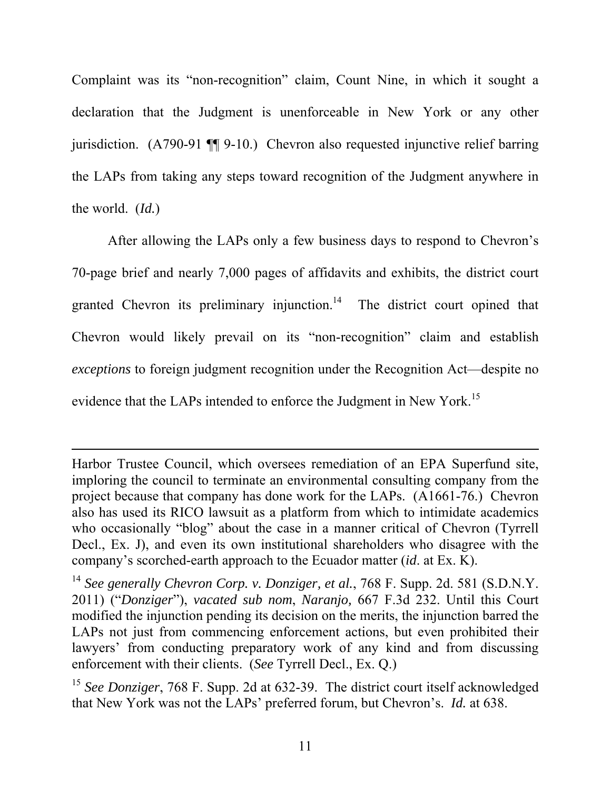Complaint was its "non-recognition" claim, Count Nine, in which it sought a declaration that the Judgment is unenforceable in New York or any other jurisdiction. (A790-91 ¶¶ 9-10.) Chevron also requested injunctive relief barring the LAPs from taking any steps toward recognition of the Judgment anywhere in the world. (*Id.*)

After allowing the LAPs only a few business days to respond to Chevron's 70-page brief and nearly 7,000 pages of affidavits and exhibits, the district court granted Chevron its preliminary injunction.<sup>14</sup> The district court opined that Chevron would likely prevail on its "non-recognition" claim and establish *exceptions* to foreign judgment recognition under the Recognition Act—despite no evidence that the LAPs intended to enforce the Judgment in New York.<sup>15</sup>

Harbor Trustee Council, which oversees remediation of an EPA Superfund site, imploring the council to terminate an environmental consulting company from the project because that company has done work for the LAPs. (A1661-76.) Chevron also has used its RICO lawsuit as a platform from which to intimidate academics who occasionally "blog" about the case in a manner critical of Chevron (Tyrrell) Decl., Ex. J), and even its own institutional shareholders who disagree with the company's scorched-earth approach to the Ecuador matter (*id*. at Ex. K).

<sup>14</sup> *See generally Chevron Corp. v. Donziger, et al.*, 768 F. Supp. 2d. 581 (S.D.N.Y. 2011) ("*Donziger*"), *vacated sub nom*, *Naranjo,* 667 F.3d 232. Until this Court modified the injunction pending its decision on the merits, the injunction barred the LAPs not just from commencing enforcement actions, but even prohibited their lawyers' from conducting preparatory work of any kind and from discussing enforcement with their clients. (*See* Tyrrell Decl., Ex. Q.)

<sup>&</sup>lt;sup>15</sup> See Donziger, 768 F. Supp. 2d at 632-39. The district court itself acknowledged that New York was not the LAPs' preferred forum, but Chevron's. *Id.* at 638.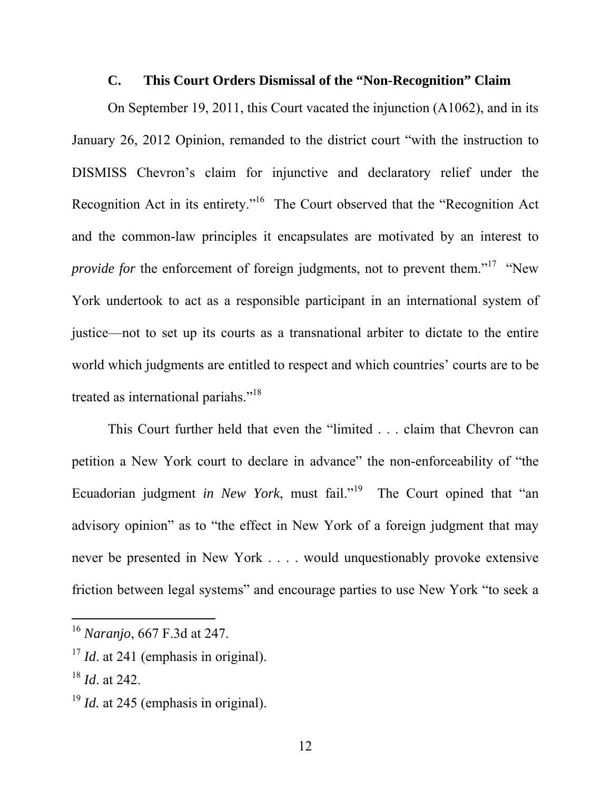#### **C. This Court Orders Dismissal of the "Non-Recognition" Claim**

On September 19, 2011, this Court vacated the injunction (A1062), and in its January 26, 2012 Opinion, remanded to the district court "with the instruction to DISMISS Chevron's claim for injunctive and declaratory relief under the Recognition Act in its entirety."16 The Court observed that the "Recognition Act and the common-law principles it encapsulates are motivated by an interest to *provide for* the enforcement of foreign judgments, not to prevent them."<sup>17</sup> "New York undertook to act as a responsible participant in an international system of justice—not to set up its courts as a transnational arbiter to dictate to the entire world which judgments are entitled to respect and which countries' courts are to be treated as international pariahs."<sup>18</sup>

This Court further held that even the "limited . . . claim that Chevron can petition a New York court to declare in advance" the non-enforceability of "the Ecuadorian judgment *in New York*, must fail."<sup>19</sup> The Court opined that "an advisory opinion" as to "the effect in New York of a foreign judgment that may never be presented in New York . . . . would unquestionably provoke extensive friction between legal systems" and encourage parties to use New York "to seek a

<sup>16</sup> *Naranjo*, 667 F.3d at 247.

<sup>&</sup>lt;sup>17</sup> *Id.* at 241 (emphasis in original).

<sup>18</sup> *Id*. at 242.

<sup>&</sup>lt;sup>19</sup> *Id.* at 245 (emphasis in original).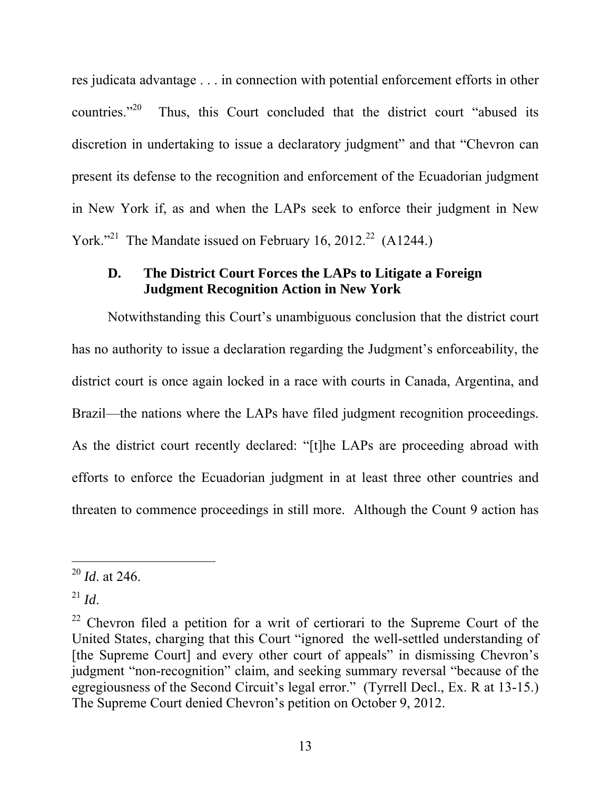res judicata advantage . . . in connection with potential enforcement efforts in other countries."<sup>20</sup> Thus, this Court concluded that the district court "abused its discretion in undertaking to issue a declaratory judgment" and that "Chevron can present its defense to the recognition and enforcement of the Ecuadorian judgment in New York if, as and when the LAPs seek to enforce their judgment in New York."<sup>21</sup> The Mandate issued on February 16, 2012.<sup>22</sup> (A1244.)

#### **D. The District Court Forces the LAPs to Litigate a Foreign Judgment Recognition Action in New York**

Notwithstanding this Court's unambiguous conclusion that the district court has no authority to issue a declaration regarding the Judgment's enforceability, the district court is once again locked in a race with courts in Canada, Argentina, and Brazil—the nations where the LAPs have filed judgment recognition proceedings. As the district court recently declared: "[t]he LAPs are proceeding abroad with efforts to enforce the Ecuadorian judgment in at least three other countries and threaten to commence proceedings in still more. Although the Count 9 action has

<sup>20</sup> *Id*. at 246.

<sup>21</sup> *Id*.

 $22$  Chevron filed a petition for a writ of certiorari to the Supreme Court of the United States, charging that this Court "ignored the well-settled understanding of [the Supreme Court] and every other court of appeals" in dismissing Chevron's judgment "non-recognition" claim, and seeking summary reversal "because of the egregiousness of the Second Circuit's legal error." (Tyrrell Decl., Ex. R at 13-15.) The Supreme Court denied Chevron's petition on October 9, 2012.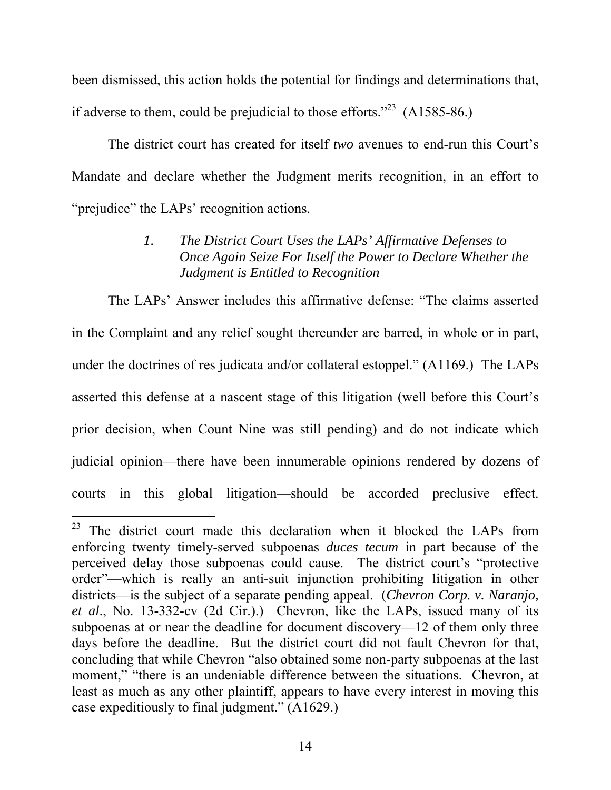been dismissed, this action holds the potential for findings and determinations that, if adverse to them, could be prejudicial to those efforts."<sup>23</sup>  $(A1585-86.)$ 

The district court has created for itself *two* avenues to end-run this Court's Mandate and declare whether the Judgment merits recognition, in an effort to "prejudice" the LAPs' recognition actions.

## *1. The District Court Uses the LAPs' Affirmative Defenses to Once Again Seize For Itself the Power to Declare Whether the Judgment is Entitled to Recognition*

The LAPs' Answer includes this affirmative defense: "The claims asserted in the Complaint and any relief sought thereunder are barred, in whole or in part, under the doctrines of res judicata and/or collateral estoppel." (A1169.) The LAPs asserted this defense at a nascent stage of this litigation (well before this Court's prior decision, when Count Nine was still pending) and do not indicate which judicial opinion—there have been innumerable opinions rendered by dozens of courts in this global litigation—should be accorded preclusive effect.

<sup>&</sup>lt;sup>23</sup> The district court made this declaration when it blocked the LAPs from enforcing twenty timely-served subpoenas *duces tecum* in part because of the perceived delay those subpoenas could cause. The district court's "protective order"—which is really an anti-suit injunction prohibiting litigation in other districts—is the subject of a separate pending appeal. (*Chevron Corp. v. Naranjo, et al*., No. 13-332-cv (2d Cir.).) Chevron, like the LAPs, issued many of its subpoenas at or near the deadline for document discovery—12 of them only three days before the deadline. But the district court did not fault Chevron for that, concluding that while Chevron "also obtained some non-party subpoenas at the last moment," "there is an undeniable difference between the situations. Chevron, at least as much as any other plaintiff, appears to have every interest in moving this case expeditiously to final judgment." (A1629.)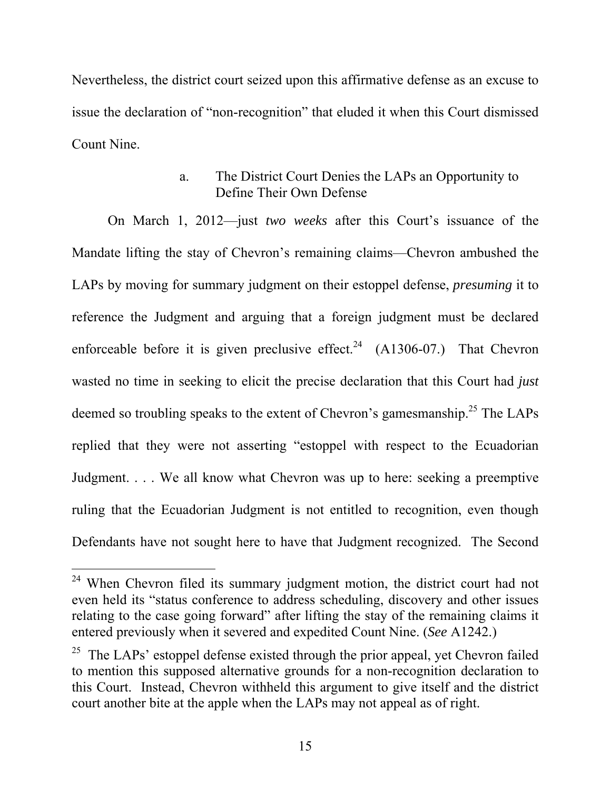Nevertheless, the district court seized upon this affirmative defense as an excuse to issue the declaration of "non-recognition" that eluded it when this Court dismissed Count Nine.

### a. The District Court Denies the LAPs an Opportunity to Define Their Own Defense

On March 1, 2012—just *two weeks* after this Court's issuance of the Mandate lifting the stay of Chevron's remaining claims—Chevron ambushed the LAPs by moving for summary judgment on their estoppel defense, *presuming* it to reference the Judgment and arguing that a foreign judgment must be declared enforceable before it is given preclusive effect.<sup>24</sup> (A1306-07.) That Chevron wasted no time in seeking to elicit the precise declaration that this Court had *just* deemed so troubling speaks to the extent of Chevron's gamesmanship.<sup>25</sup> The LAPs replied that they were not asserting "estoppel with respect to the Ecuadorian Judgment. . . . We all know what Chevron was up to here: seeking a preemptive ruling that the Ecuadorian Judgment is not entitled to recognition, even though Defendants have not sought here to have that Judgment recognized. The Second

 $24$  When Chevron filed its summary judgment motion, the district court had not even held its "status conference to address scheduling, discovery and other issues relating to the case going forward" after lifting the stay of the remaining claims it entered previously when it severed and expedited Count Nine. (*See* A1242.)

 $25$  The LAPs' estoppel defense existed through the prior appeal, yet Chevron failed to mention this supposed alternative grounds for a non-recognition declaration to this Court. Instead, Chevron withheld this argument to give itself and the district court another bite at the apple when the LAPs may not appeal as of right.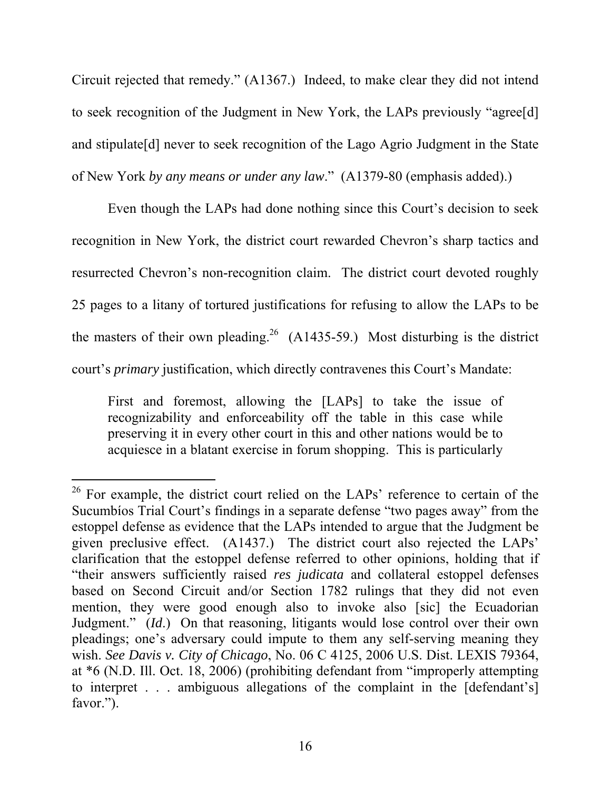Circuit rejected that remedy." (A1367.) Indeed, to make clear they did not intend to seek recognition of the Judgment in New York, the LAPs previously "agree[d] and stipulate[d] never to seek recognition of the Lago Agrio Judgment in the State of New York *by any means or under any law*." (A1379-80 (emphasis added).)

Even though the LAPs had done nothing since this Court's decision to seek recognition in New York, the district court rewarded Chevron's sharp tactics and resurrected Chevron's non-recognition claim. The district court devoted roughly 25 pages to a litany of tortured justifications for refusing to allow the LAPs to be the masters of their own pleading.<sup>26</sup> (A1435-59.) Most disturbing is the district court's *primary* justification, which directly contravenes this Court's Mandate:

First and foremost, allowing the [LAPs] to take the issue of recognizability and enforceability off the table in this case while preserving it in every other court in this and other nations would be to acquiesce in a blatant exercise in forum shopping. This is particularly

 $\overline{a}$  $26$  For example, the district court relied on the LAPs' reference to certain of the Sucumbíos Trial Court's findings in a separate defense "two pages away" from the estoppel defense as evidence that the LAPs intended to argue that the Judgment be given preclusive effect. (A1437.) The district court also rejected the LAPs' clarification that the estoppel defense referred to other opinions, holding that if "their answers sufficiently raised *res judicata* and collateral estoppel defenses based on Second Circuit and/or Section 1782 rulings that they did not even mention, they were good enough also to invoke also [sic] the Ecuadorian Judgment." (*Id*.) On that reasoning, litigants would lose control over their own pleadings; one's adversary could impute to them any self-serving meaning they wish. *See Davis v. City of Chicago*, No. 06 C 4125, 2006 U.S. Dist. LEXIS 79364, at \*6 (N.D. Ill. Oct. 18, 2006) (prohibiting defendant from "improperly attempting to interpret . . . ambiguous allegations of the complaint in the [defendant's] favor.").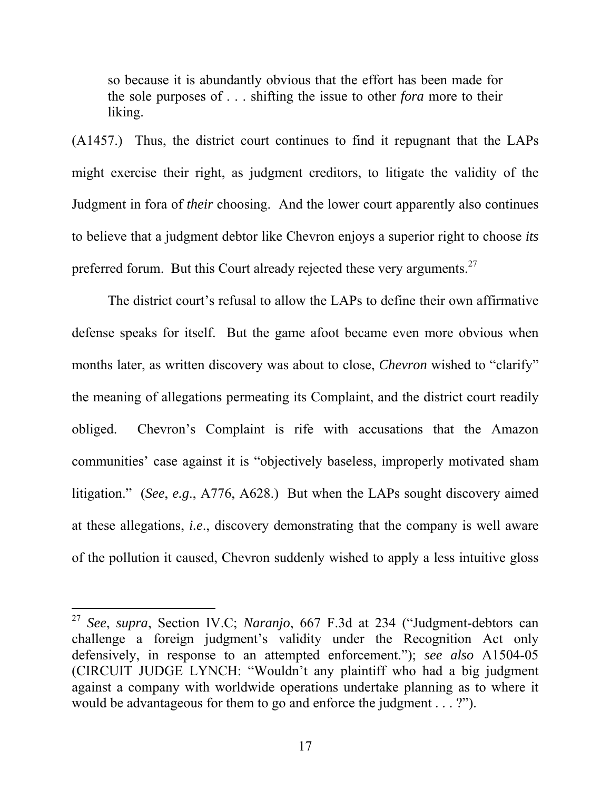so because it is abundantly obvious that the effort has been made for the sole purposes of . . . shifting the issue to other *fora* more to their liking.

(A1457.) Thus, the district court continues to find it repugnant that the LAPs might exercise their right, as judgment creditors, to litigate the validity of the Judgment in fora of *their* choosing. And the lower court apparently also continues to believe that a judgment debtor like Chevron enjoys a superior right to choose *its*  preferred forum. But this Court already rejected these very arguments.<sup>27</sup>

The district court's refusal to allow the LAPs to define their own affirmative defense speaks for itself. But the game afoot became even more obvious when months later, as written discovery was about to close, *Chevron* wished to "clarify" the meaning of allegations permeating its Complaint, and the district court readily obliged. Chevron's Complaint is rife with accusations that the Amazon communities' case against it is "objectively baseless, improperly motivated sham litigation." (*See*, *e.g*., A776, A628.) But when the LAPs sought discovery aimed at these allegations, *i.e*., discovery demonstrating that the company is well aware of the pollution it caused, Chevron suddenly wished to apply a less intuitive gloss

<sup>27</sup> *See*, *supra*, Section IV.C; *Naranjo*, 667 F.3d at 234 ("Judgment-debtors can challenge a foreign judgment's validity under the Recognition Act only defensively, in response to an attempted enforcement."); *see also* A1504-05 (CIRCUIT JUDGE LYNCH: "Wouldn't any plaintiff who had a big judgment against a company with worldwide operations undertake planning as to where it would be advantageous for them to go and enforce the judgment . . . ?").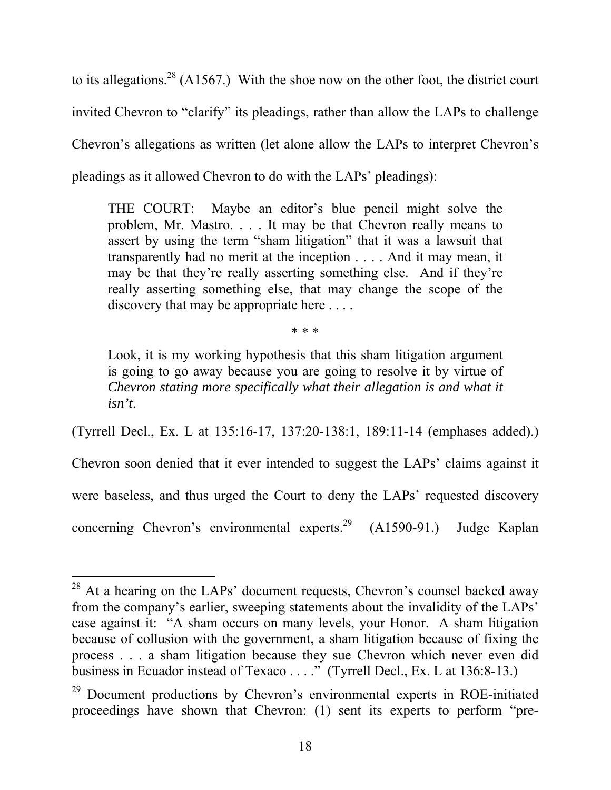to its allegations.<sup>28</sup> (A1567.) With the shoe now on the other foot, the district court invited Chevron to "clarify" its pleadings, rather than allow the LAPs to challenge Chevron's allegations as written (let alone allow the LAPs to interpret Chevron's pleadings as it allowed Chevron to do with the LAPs' pleadings):

THE COURT: Maybe an editor's blue pencil might solve the problem, Mr. Mastro. . . . It may be that Chevron really means to assert by using the term "sham litigation" that it was a lawsuit that transparently had no merit at the inception . . . . And it may mean, it may be that they're really asserting something else. And if they're really asserting something else, that may change the scope of the discovery that may be appropriate here . . . .

\* \* \*

Look, it is my working hypothesis that this sham litigation argument is going to go away because you are going to resolve it by virtue of *Chevron stating more specifically what their allegation is and what it isn't*.

(Tyrrell Decl., Ex. L at 135:16-17, 137:20-138:1, 189:11-14 (emphases added).)

Chevron soon denied that it ever intended to suggest the LAPs' claims against it

were baseless, and thus urged the Court to deny the LAPs' requested discovery

concerning Chevron's environmental experts.<sup>29</sup> (A1590-91.) Judge Kaplan

l

 $28$  At a hearing on the LAPs' document requests, Chevron's counsel backed away from the company's earlier, sweeping statements about the invalidity of the LAPs' case against it: "A sham occurs on many levels, your Honor. A sham litigation because of collusion with the government, a sham litigation because of fixing the process . . . a sham litigation because they sue Chevron which never even did business in Ecuador instead of Texaco . . . ." (Tyrrell Decl., Ex. L at 136:8-13.)

 $29$  Document productions by Chevron's environmental experts in ROE-initiated proceedings have shown that Chevron: (1) sent its experts to perform "pre-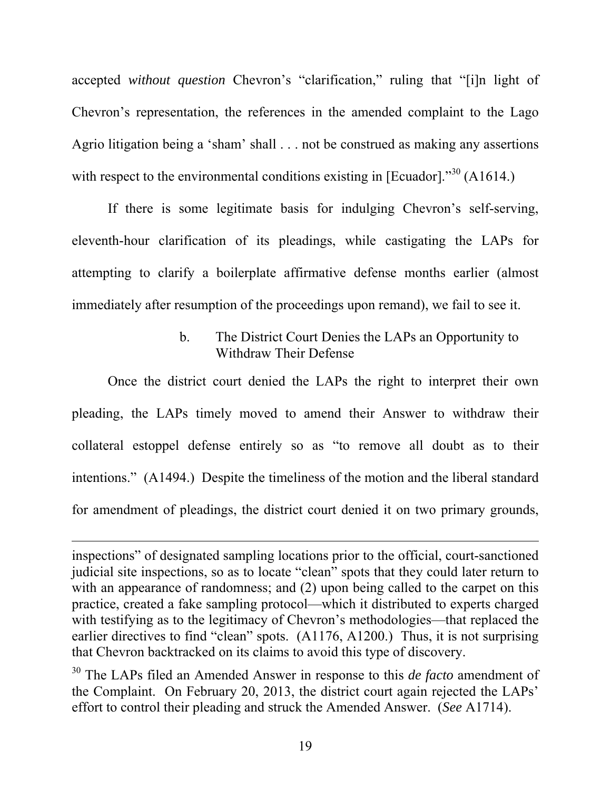accepted *without question* Chevron's "clarification," ruling that "[i]n light of Chevron's representation, the references in the amended complaint to the Lago Agrio litigation being a 'sham' shall . . . not be construed as making any assertions with respect to the environmental conditions existing in [Ecuador]. $^{30}$  (A1614.)

If there is some legitimate basis for indulging Chevron's self-serving, eleventh-hour clarification of its pleadings, while castigating the LAPs for attempting to clarify a boilerplate affirmative defense months earlier (almost immediately after resumption of the proceedings upon remand), we fail to see it.

### b. The District Court Denies the LAPs an Opportunity to Withdraw Their Defense

Once the district court denied the LAPs the right to interpret their own pleading, the LAPs timely moved to amend their Answer to withdraw their collateral estoppel defense entirely so as "to remove all doubt as to their intentions." (A1494.) Despite the timeliness of the motion and the liberal standard for amendment of pleadings, the district court denied it on two primary grounds,

inspections" of designated sampling locations prior to the official, court-sanctioned judicial site inspections, so as to locate "clean" spots that they could later return to with an appearance of randomness; and (2) upon being called to the carpet on this practice, created a fake sampling protocol—which it distributed to experts charged with testifying as to the legitimacy of Chevron's methodologies—that replaced the earlier directives to find "clean" spots. (A1176, A1200.) Thus, it is not surprising that Chevron backtracked on its claims to avoid this type of discovery.

<sup>30</sup> The LAPs filed an Amended Answer in response to this *de facto* amendment of the Complaint. On February 20, 2013, the district court again rejected the LAPs' effort to control their pleading and struck the Amended Answer. (*See* A1714).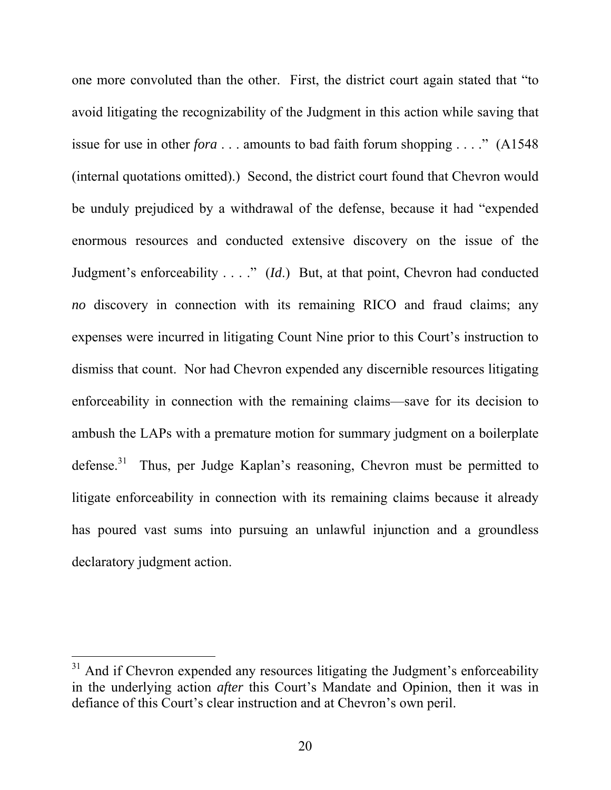one more convoluted than the other. First, the district court again stated that "to avoid litigating the recognizability of the Judgment in this action while saving that issue for use in other *fora* . . . amounts to bad faith forum shopping . . . ." (A1548 (internal quotations omitted).) Second, the district court found that Chevron would be unduly prejudiced by a withdrawal of the defense, because it had "expended enormous resources and conducted extensive discovery on the issue of the Judgment's enforceability . . . ." (*Id*.) But, at that point, Chevron had conducted *no* discovery in connection with its remaining RICO and fraud claims; any expenses were incurred in litigating Count Nine prior to this Court's instruction to dismiss that count. Nor had Chevron expended any discernible resources litigating enforceability in connection with the remaining claims—save for its decision to ambush the LAPs with a premature motion for summary judgment on a boilerplate defense.<sup>31</sup> Thus, per Judge Kaplan's reasoning, Chevron must be permitted to litigate enforceability in connection with its remaining claims because it already has poured vast sums into pursuing an unlawful injunction and a groundless declaratory judgment action.

 $31$  And if Chevron expended any resources litigating the Judgment's enforceability in the underlying action *after* this Court's Mandate and Opinion, then it was in defiance of this Court's clear instruction and at Chevron's own peril.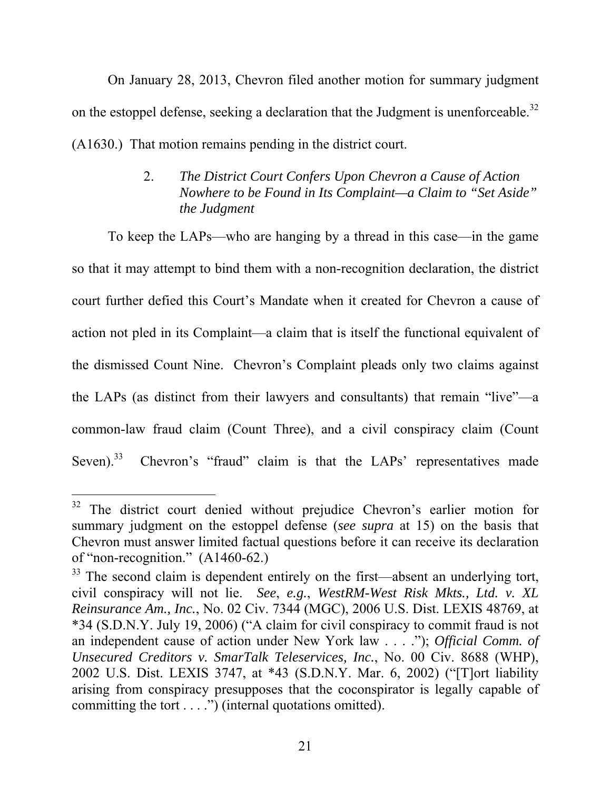On January 28, 2013, Chevron filed another motion for summary judgment on the estoppel defense, seeking a declaration that the Judgment is unenforceable.<sup>32</sup> (A1630.) That motion remains pending in the district court.

#### 2. *The District Court Confers Upon Chevron a Cause of Action Nowhere to be Found in Its Complaint—a Claim to "Set Aside" the Judgment*

To keep the LAPs—who are hanging by a thread in this case—in the game so that it may attempt to bind them with a non-recognition declaration, the district court further defied this Court's Mandate when it created for Chevron a cause of action not pled in its Complaint—a claim that is itself the functional equivalent of the dismissed Count Nine. Chevron's Complaint pleads only two claims against the LAPs (as distinct from their lawyers and consultants) that remain "live"—a common-law fraud claim (Count Three), and a civil conspiracy claim (Count Seven).<sup>33</sup> Chevron's "fraud" claim is that the LAPs' representatives made

<sup>-</sup><sup>32</sup> The district court denied without prejudice Chevron's earlier motion for summary judgment on the estoppel defense (*see supra* at 15) on the basis that Chevron must answer limited factual questions before it can receive its declaration of "non-recognition." (A1460-62.)

<sup>&</sup>lt;sup>33</sup> The second claim is dependent entirely on the first—absent an underlying tort, civil conspiracy will not lie. *See*, *e.g.*, *WestRM-West Risk Mkts., Ltd. v. XL Reinsurance Am., Inc.*, No. 02 Civ. 7344 (MGC), 2006 U.S. Dist. LEXIS 48769, at \*34 (S.D.N.Y. July 19, 2006) ("A claim for civil conspiracy to commit fraud is not an independent cause of action under New York law . . . ."); *Official Comm. of Unsecured Creditors v. SmarTalk Teleservices, Inc.*, No. 00 Civ. 8688 (WHP), 2002 U.S. Dist. LEXIS 3747, at \*43 (S.D.N.Y. Mar. 6, 2002) ("[T]ort liability arising from conspiracy presupposes that the coconspirator is legally capable of committing the tort . . . .") (internal quotations omitted).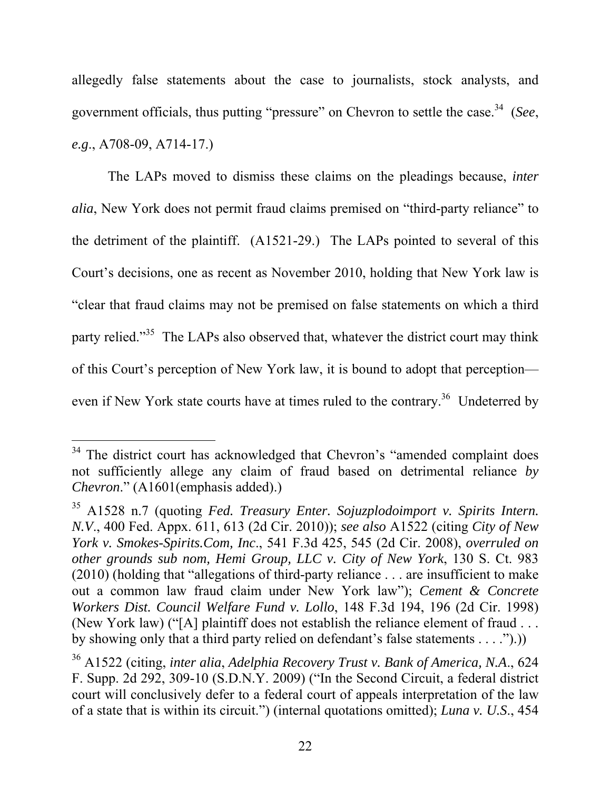allegedly false statements about the case to journalists, stock analysts, and government officials, thus putting "pressure" on Chevron to settle the case.34 (*See*, *e.g*., A708-09, A714-17.)

The LAPs moved to dismiss these claims on the pleadings because, *inter alia*, New York does not permit fraud claims premised on "third-party reliance" to the detriment of the plaintiff. (A1521-29.) The LAPs pointed to several of this Court's decisions, one as recent as November 2010, holding that New York law is "clear that fraud claims may not be premised on false statements on which a third party relied."<sup>35</sup> The LAPs also observed that, whatever the district court may think of this Court's perception of New York law, it is bound to adopt that perception even if New York state courts have at times ruled to the contrary.<sup>36</sup> Undeterred by

<sup>&</sup>lt;sup>34</sup> The district court has acknowledged that Chevron's "amended complaint does not sufficiently allege any claim of fraud based on detrimental reliance *by Chevron*." (A1601(emphasis added).)

<sup>35</sup> A1528 n.7 (quoting *Fed. Treasury Enter. Sojuzplodoimport v. Spirits Intern. N.V*., 400 Fed. Appx. 611, 613 (2d Cir. 2010)); *see also* A1522 (citing *City of New York v. Smokes-Spirits.Com, Inc*., 541 F.3d 425, 545 (2d Cir. 2008), *overruled on other grounds sub nom, Hemi Group, LLC v. City of New York*, 130 S. Ct. 983 (2010) (holding that "allegations of third-party reliance . . . are insufficient to make out a common law fraud claim under New York law"); *Cement & Concrete Workers Dist. Council Welfare Fund v. Lollo*, 148 F.3d 194, 196 (2d Cir. 1998) (New York law) ("[A] plaintiff does not establish the reliance element of fraud . . . by showing only that a third party relied on defendant's false statements . . . .").))

<sup>36</sup> A1522 (citing, *inter alia*, *Adelphia Recovery Trust v. Bank of America, N.A*., 624 F. Supp. 2d 292, 309-10 (S.D.N.Y. 2009) ("In the Second Circuit, a federal district court will conclusively defer to a federal court of appeals interpretation of the law of a state that is within its circuit.") (internal quotations omitted); *Luna v. U.S*., 454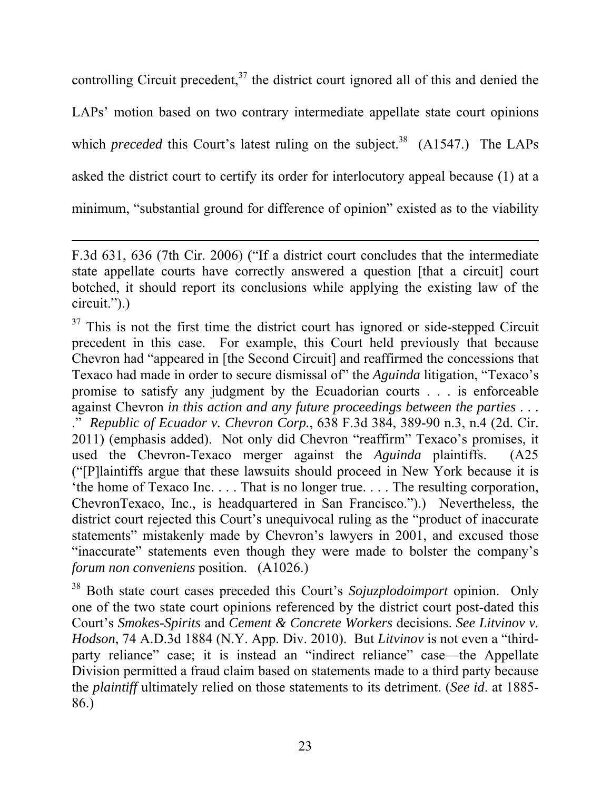controlling Circuit precedent, $37$  the district court ignored all of this and denied the LAPs' motion based on two contrary intermediate appellate state court opinions which *preceded* this Court's latest ruling on the subject.<sup>38</sup> (A1547.) The LAPs asked the district court to certify its order for interlocutory appeal because (1) at a minimum, "substantial ground for difference of opinion" existed as to the viability

l

 $37$  This is not the first time the district court has ignored or side-stepped Circuit precedent in this case. For example, this Court held previously that because Chevron had "appeared in [the Second Circuit] and reaffirmed the concessions that Texaco had made in order to secure dismissal of" the *Aguinda* litigation, "Texaco's promise to satisfy any judgment by the Ecuadorian courts . . . is enforceable against Chevron *in this action and any future proceedings between the parties* . . . ." *Republic of Ecuador v. Chevron Corp.*, 638 F.3d 384, 389-90 n.3, n.4 (2d. Cir. 2011) (emphasis added). Not only did Chevron "reaffirm" Texaco's promises, it used the Chevron-Texaco merger against the *Aguinda* plaintiffs. (A25 ("[P]laintiffs argue that these lawsuits should proceed in New York because it is 'the home of Texaco Inc. . . . That is no longer true. . . . The resulting corporation, ChevronTexaco, Inc., is headquartered in San Francisco.").) Nevertheless, the district court rejected this Court's unequivocal ruling as the "product of inaccurate statements" mistakenly made by Chevron's lawyers in 2001, and excused those "inaccurate" statements even though they were made to bolster the company's *forum non conveniens* position. (A1026.)

38 Both state court cases preceded this Court's *Sojuzplodoimport* opinion. Only one of the two state court opinions referenced by the district court post-dated this Court's *Smokes-Spirits* and *Cement & Concrete Workers* decisions. *See Litvinov v. Hodson*, 74 A.D.3d 1884 (N.Y. App. Div. 2010). But *Litvinov* is not even a "thirdparty reliance" case; it is instead an "indirect reliance" case—the Appellate Division permitted a fraud claim based on statements made to a third party because the *plaintiff* ultimately relied on those statements to its detriment. (*See id*. at 1885- 86.)

F.3d 631, 636 (7th Cir. 2006) ("If a district court concludes that the intermediate state appellate courts have correctly answered a question [that a circuit] court botched, it should report its conclusions while applying the existing law of the circuit.").)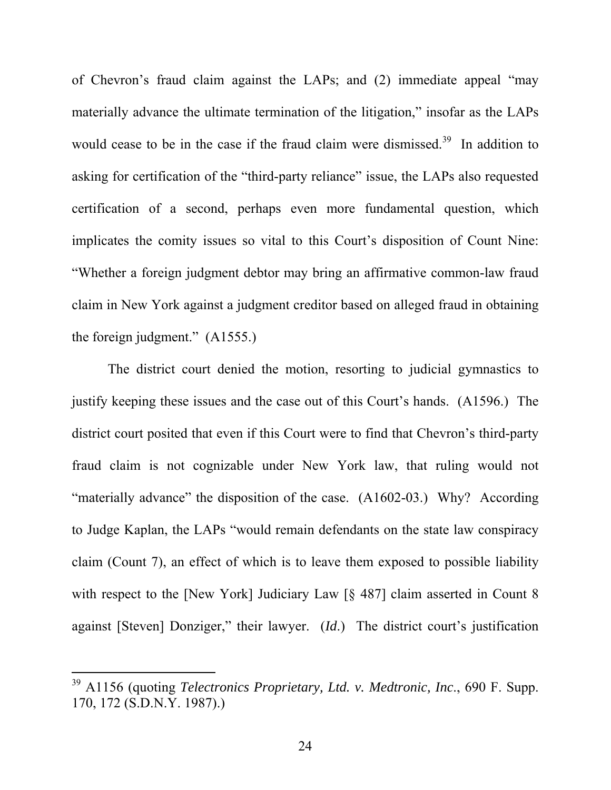of Chevron's fraud claim against the LAPs; and (2) immediate appeal "may materially advance the ultimate termination of the litigation," insofar as the LAPs would cease to be in the case if the fraud claim were dismissed.<sup>39</sup> In addition to asking for certification of the "third-party reliance" issue, the LAPs also requested certification of a second, perhaps even more fundamental question, which implicates the comity issues so vital to this Court's disposition of Count Nine: "Whether a foreign judgment debtor may bring an affirmative common-law fraud claim in New York against a judgment creditor based on alleged fraud in obtaining the foreign judgment." (A1555.)

The district court denied the motion, resorting to judicial gymnastics to justify keeping these issues and the case out of this Court's hands. (A1596.) The district court posited that even if this Court were to find that Chevron's third-party fraud claim is not cognizable under New York law, that ruling would not "materially advance" the disposition of the case. (A1602-03.) Why? According to Judge Kaplan, the LAPs "would remain defendants on the state law conspiracy claim (Count 7), an effect of which is to leave them exposed to possible liability with respect to the [New York] Judiciary Law [§ 487] claim asserted in Count 8 against [Steven] Donziger," their lawyer. (*Id*.) The district court's justification

<sup>39</sup> A1156 (quoting *Telectronics Proprietary, Ltd. v. Medtronic, Inc*., 690 F. Supp. 170, 172 (S.D.N.Y. 1987).)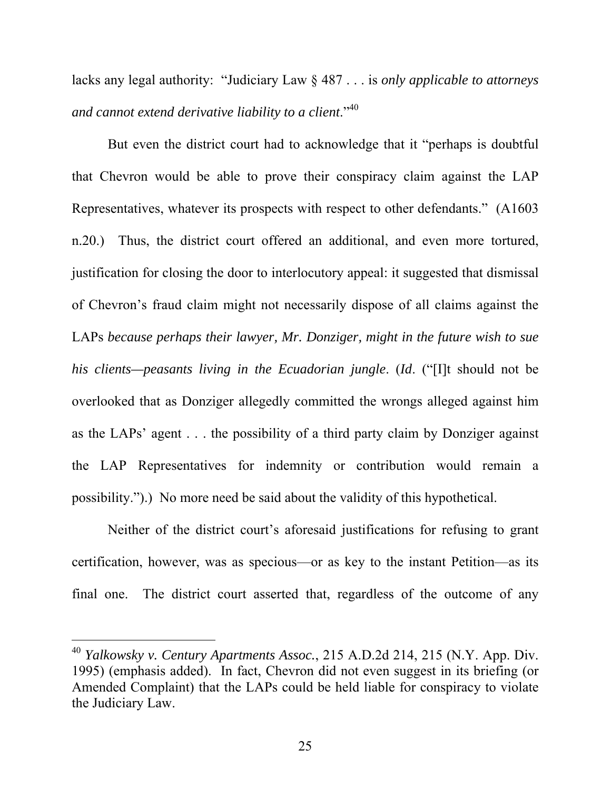lacks any legal authority: "Judiciary Law § 487 . . . is *only applicable to attorneys and cannot extend derivative liability to a client*."<sup>40</sup>

But even the district court had to acknowledge that it "perhaps is doubtful that Chevron would be able to prove their conspiracy claim against the LAP Representatives, whatever its prospects with respect to other defendants." (A1603) n.20.) Thus, the district court offered an additional, and even more tortured, justification for closing the door to interlocutory appeal: it suggested that dismissal of Chevron's fraud claim might not necessarily dispose of all claims against the LAPs *because perhaps their lawyer, Mr. Donziger, might in the future wish to sue his clients—peasants living in the Ecuadorian jungle*. (*Id*. ("[I]t should not be overlooked that as Donziger allegedly committed the wrongs alleged against him as the LAPs' agent . . . the possibility of a third party claim by Donziger against the LAP Representatives for indemnity or contribution would remain a possibility.").) No more need be said about the validity of this hypothetical.

Neither of the district court's aforesaid justifications for refusing to grant certification, however, was as specious—or as key to the instant Petition—as its final one. The district court asserted that, regardless of the outcome of any

<sup>40</sup> *Yalkowsky v. Century Apartments Assoc.*, 215 A.D.2d 214, 215 (N.Y. App. Div. 1995) (emphasis added). In fact, Chevron did not even suggest in its briefing (or Amended Complaint) that the LAPs could be held liable for conspiracy to violate the Judiciary Law.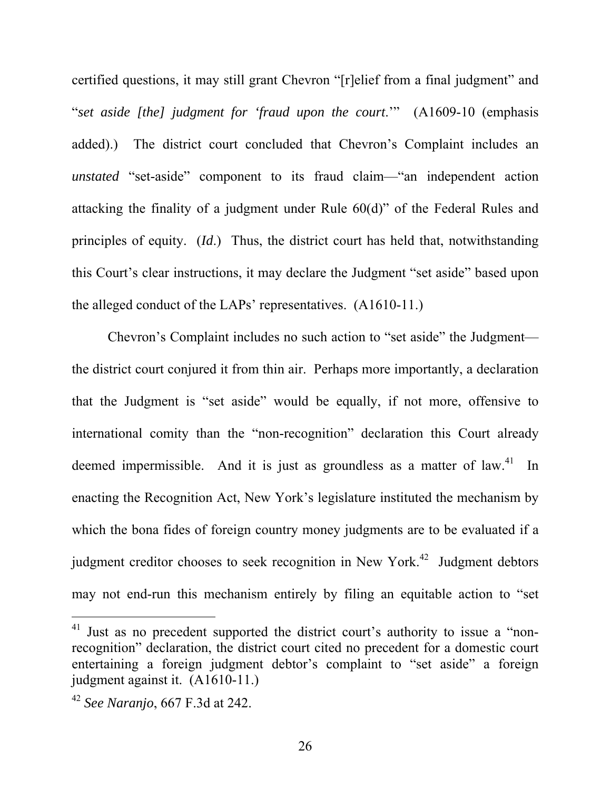certified questions, it may still grant Chevron "[r]elief from a final judgment" and "*set aside [the] judgment for 'fraud upon the court*.'" (A1609-10 (emphasis added).) The district court concluded that Chevron's Complaint includes an *unstated* "set-aside" component to its fraud claim—"an independent action attacking the finality of a judgment under Rule 60(d)" of the Federal Rules and principles of equity. (*Id*.) Thus, the district court has held that, notwithstanding this Court's clear instructions, it may declare the Judgment "set aside" based upon the alleged conduct of the LAPs' representatives. (A1610-11.)

Chevron's Complaint includes no such action to "set aside" the Judgment the district court conjured it from thin air. Perhaps more importantly, a declaration that the Judgment is "set aside" would be equally, if not more, offensive to international comity than the "non-recognition" declaration this Court already deemed impermissible. And it is just as groundless as a matter of law. $41$  In enacting the Recognition Act, New York's legislature instituted the mechanism by which the bona fides of foreign country money judgments are to be evaluated if a judgment creditor chooses to seek recognition in New York.<sup>42</sup> Judgment debtors may not end-run this mechanism entirely by filing an equitable action to "set

<sup>&</sup>lt;sup>41</sup> Just as no precedent supported the district court's authority to issue a "nonrecognition" declaration, the district court cited no precedent for a domestic court entertaining a foreign judgment debtor's complaint to "set aside" a foreign judgment against it. (A1610-11.)

<sup>42</sup> *See Naranjo*, 667 F.3d at 242.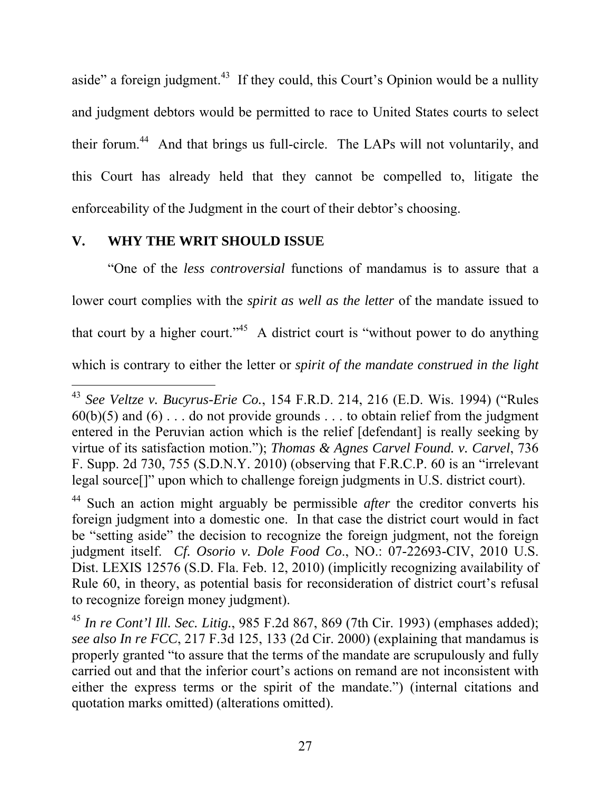aside" a foreign judgment.<sup>43</sup> If they could, this Court's Opinion would be a nullity and judgment debtors would be permitted to race to United States courts to select their forum.44 And that brings us full-circle. The LAPs will not voluntarily, and this Court has already held that they cannot be compelled to, litigate the enforceability of the Judgment in the court of their debtor's choosing.

#### **V. WHY THE WRIT SHOULD ISSUE**

"One of the *less controversial* functions of mandamus is to assure that a lower court complies with the *spirit as well as the letter* of the mandate issued to that court by a higher court."<sup>45</sup> A district court is "without power to do anything which is contrary to either the letter or *spirit of the mandate construed in the light* 

<sup>-</sup><sup>43</sup> *See Veltze v. Bucyrus-Erie Co.*, 154 F.R.D. 214, 216 (E.D. Wis. 1994) ("Rules  $60(b)(5)$  and  $(6)$ ... do not provide grounds ... to obtain relief from the judgment entered in the Peruvian action which is the relief [defendant] is really seeking by virtue of its satisfaction motion."); *Thomas & Agnes Carvel Found. v. Carvel*, 736 F. Supp. 2d 730, 755 (S.D.N.Y. 2010) (observing that F.R.C.P. 60 is an "irrelevant legal source[]" upon which to challenge foreign judgments in U.S. district court).

<sup>44</sup> Such an action might arguably be permissible *after* the creditor converts his foreign judgment into a domestic one. In that case the district court would in fact be "setting aside" the decision to recognize the foreign judgment, not the foreign judgment itself. *Cf. Osorio v. Dole Food Co*., NO.: 07-22693-CIV, 2010 U.S. Dist. LEXIS 12576 (S.D. Fla. Feb. 12, 2010) (implicitly recognizing availability of Rule 60, in theory, as potential basis for reconsideration of district court's refusal to recognize foreign money judgment).

<sup>45</sup> *In re Cont'l Ill. Sec. Litig.*, 985 F.2d 867, 869 (7th Cir. 1993) (emphases added); *see also In re FCC*, 217 F.3d 125, 133 (2d Cir. 2000) (explaining that mandamus is properly granted "to assure that the terms of the mandate are scrupulously and fully carried out and that the inferior court's actions on remand are not inconsistent with either the express terms or the spirit of the mandate.") (internal citations and quotation marks omitted) (alterations omitted).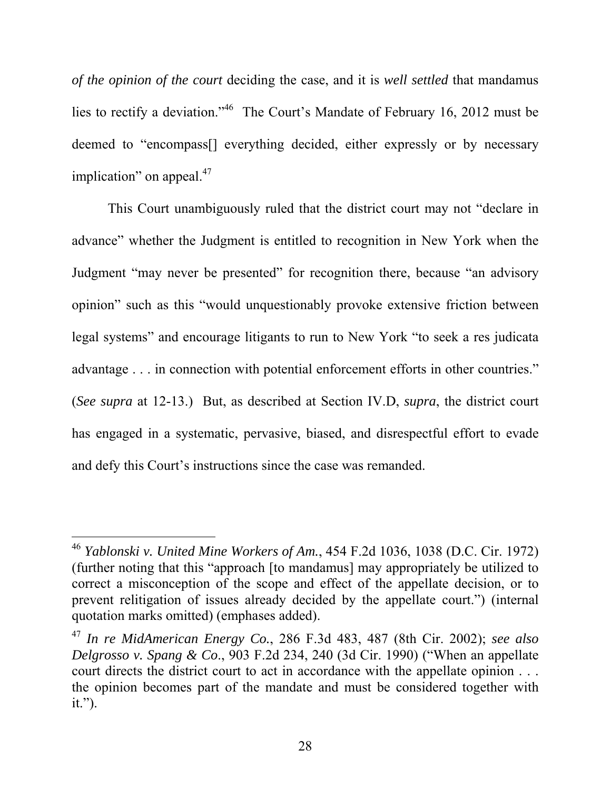*of the opinion of the court* deciding the case, and it is *well settled* that mandamus lies to rectify a deviation."46 The Court's Mandate of February 16, 2012 must be deemed to "encompass[] everything decided, either expressly or by necessary implication" on appeal. $47$ 

This Court unambiguously ruled that the district court may not "declare in advance" whether the Judgment is entitled to recognition in New York when the Judgment "may never be presented" for recognition there, because "an advisory opinion" such as this "would unquestionably provoke extensive friction between legal systems" and encourage litigants to run to New York "to seek a res judicata advantage . . . in connection with potential enforcement efforts in other countries." (*See supra* at 12-13.) But, as described at Section IV.D, *supra*, the district court has engaged in a systematic, pervasive, biased, and disrespectful effort to evade and defy this Court's instructions since the case was remanded.

l

<sup>46</sup> *Yablonski v. United Mine Workers of Am.*, 454 F.2d 1036, 1038 (D.C. Cir. 1972) (further noting that this "approach [to mandamus] may appropriately be utilized to correct a misconception of the scope and effect of the appellate decision, or to prevent relitigation of issues already decided by the appellate court.") (internal quotation marks omitted) (emphases added).

<sup>47</sup> *In re MidAmerican Energy Co.*, 286 F.3d 483, 487 (8th Cir. 2002); *see also Delgrosso v. Spang & Co*., 903 F.2d 234, 240 (3d Cir. 1990) ("When an appellate court directs the district court to act in accordance with the appellate opinion . . . the opinion becomes part of the mandate and must be considered together with it.").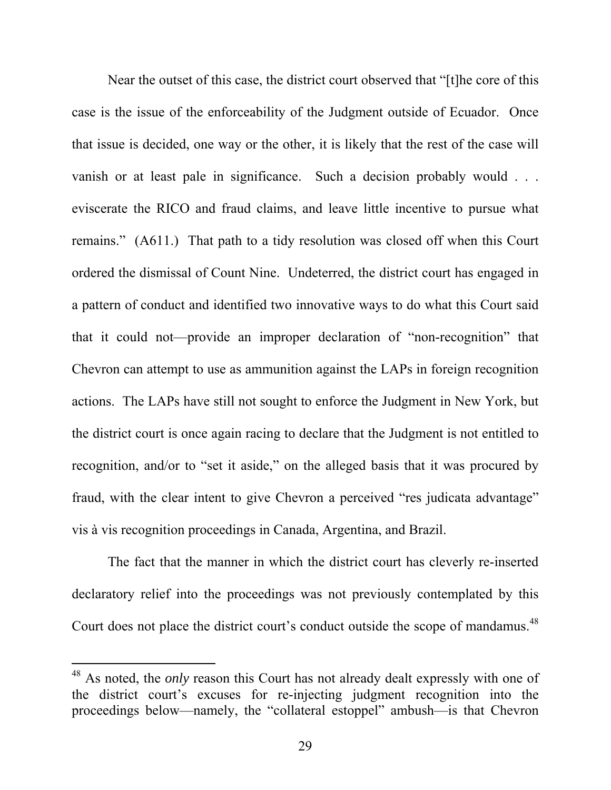Near the outset of this case, the district court observed that "[t]he core of this case is the issue of the enforceability of the Judgment outside of Ecuador. Once that issue is decided, one way or the other, it is likely that the rest of the case will vanish or at least pale in significance. Such a decision probably would . . . eviscerate the RICO and fraud claims, and leave little incentive to pursue what remains." (A611.) That path to a tidy resolution was closed off when this Court ordered the dismissal of Count Nine. Undeterred, the district court has engaged in a pattern of conduct and identified two innovative ways to do what this Court said that it could not—provide an improper declaration of "non-recognition" that Chevron can attempt to use as ammunition against the LAPs in foreign recognition actions. The LAPs have still not sought to enforce the Judgment in New York, but the district court is once again racing to declare that the Judgment is not entitled to recognition, and/or to "set it aside," on the alleged basis that it was procured by fraud, with the clear intent to give Chevron a perceived "res judicata advantage" vis à vis recognition proceedings in Canada, Argentina, and Brazil.

The fact that the manner in which the district court has cleverly re-inserted declaratory relief into the proceedings was not previously contemplated by this Court does not place the district court's conduct outside the scope of mandamus.<sup>48</sup>

<sup>48</sup> As noted, the *only* reason this Court has not already dealt expressly with one of the district court's excuses for re-injecting judgment recognition into the proceedings below—namely, the "collateral estoppel" ambush—is that Chevron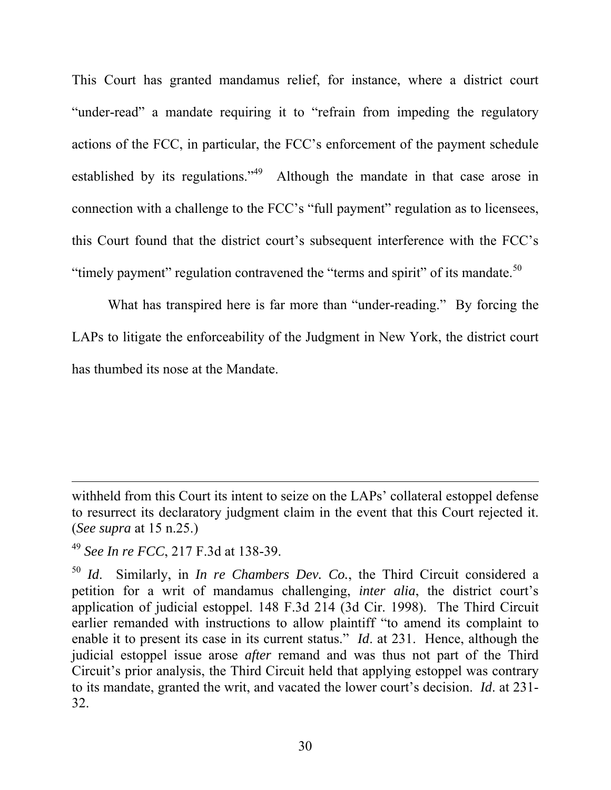This Court has granted mandamus relief, for instance, where a district court "under-read" a mandate requiring it to "refrain from impeding the regulatory actions of the FCC, in particular, the FCC's enforcement of the payment schedule established by its regulations."49 Although the mandate in that case arose in connection with a challenge to the FCC's "full payment" regulation as to licensees, this Court found that the district court's subsequent interference with the FCC's "timely payment" regulation contravened the "terms and spirit" of its mandate.<sup>50</sup>

What has transpired here is far more than "under-reading." By forcing the LAPs to litigate the enforceability of the Judgment in New York, the district court has thumbed its nose at the Mandate.

l

withheld from this Court its intent to seize on the LAPs' collateral estoppel defense to resurrect its declaratory judgment claim in the event that this Court rejected it. (*See supra* at 15 n.25.)

<sup>49</sup> *See In re FCC*, 217 F.3d at 138-39.

<sup>50</sup> *Id*. Similarly, in *In re Chambers Dev. Co.*, the Third Circuit considered a petition for a writ of mandamus challenging, *inter alia*, the district court's application of judicial estoppel. 148 F.3d 214 (3d Cir. 1998). The Third Circuit earlier remanded with instructions to allow plaintiff "to amend its complaint to enable it to present its case in its current status." *Id*. at 231. Hence, although the judicial estoppel issue arose *after* remand and was thus not part of the Third Circuit's prior analysis, the Third Circuit held that applying estoppel was contrary to its mandate, granted the writ, and vacated the lower court's decision. *Id*. at 231- 32.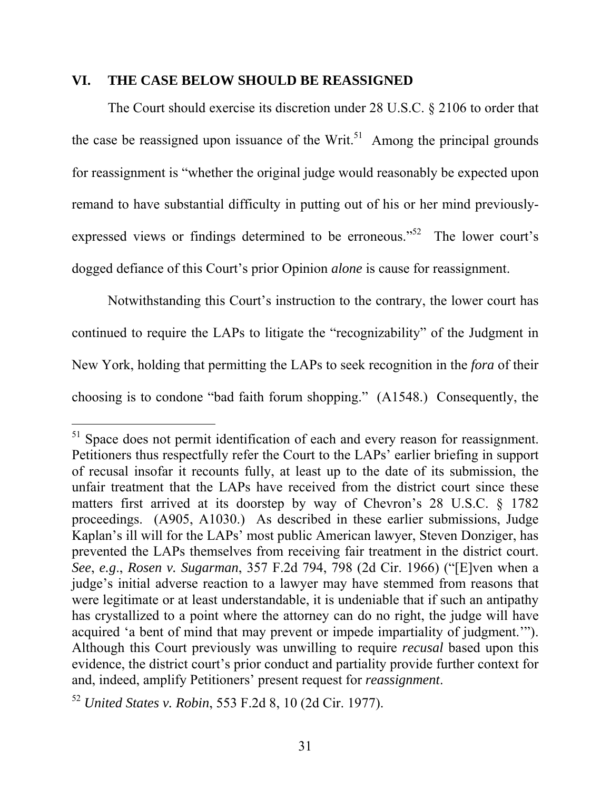#### **VI. THE CASE BELOW SHOULD BE REASSIGNED**

The Court should exercise its discretion under 28 U.S.C. § 2106 to order that the case be reassigned upon issuance of the Writ.<sup>51</sup> Among the principal grounds for reassignment is "whether the original judge would reasonably be expected upon remand to have substantial difficulty in putting out of his or her mind previouslyexpressed views or findings determined to be erroneous."<sup>52</sup> The lower court's dogged defiance of this Court's prior Opinion *alone* is cause for reassignment.

Notwithstanding this Court's instruction to the contrary, the lower court has continued to require the LAPs to litigate the "recognizability" of the Judgment in New York, holding that permitting the LAPs to seek recognition in the *fora* of their choosing is to condone "bad faith forum shopping." (A1548.) Consequently, the

 $51$  Space does not permit identification of each and every reason for reassignment. Petitioners thus respectfully refer the Court to the LAPs' earlier briefing in support of recusal insofar it recounts fully, at least up to the date of its submission, the unfair treatment that the LAPs have received from the district court since these matters first arrived at its doorstep by way of Chevron's 28 U.S.C. § 1782 proceedings. (A905, A1030.) As described in these earlier submissions, Judge Kaplan's ill will for the LAPs' most public American lawyer, Steven Donziger, has prevented the LAPs themselves from receiving fair treatment in the district court. *See*, *e.g*., *Rosen v. Sugarman*, 357 F.2d 794, 798 (2d Cir. 1966) ("[E]ven when a judge's initial adverse reaction to a lawyer may have stemmed from reasons that were legitimate or at least understandable, it is undeniable that if such an antipathy has crystallized to a point where the attorney can do no right, the judge will have acquired 'a bent of mind that may prevent or impede impartiality of judgment.'"). Although this Court previously was unwilling to require *recusal* based upon this evidence, the district court's prior conduct and partiality provide further context for and, indeed, amplify Petitioners' present request for *reassignment*.

<sup>52</sup> *United States v. Robin*, 553 F.2d 8, 10 (2d Cir. 1977).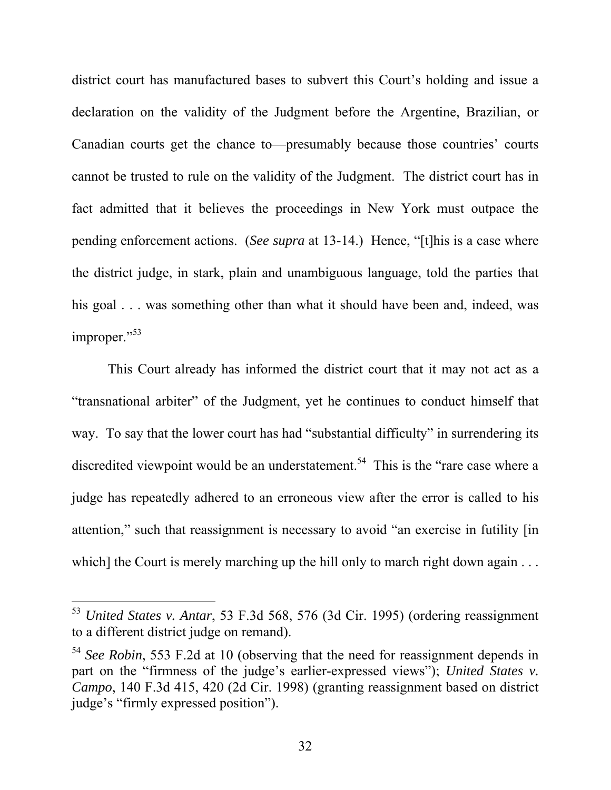district court has manufactured bases to subvert this Court's holding and issue a declaration on the validity of the Judgment before the Argentine, Brazilian, or Canadian courts get the chance to—presumably because those countries' courts cannot be trusted to rule on the validity of the Judgment. The district court has in fact admitted that it believes the proceedings in New York must outpace the pending enforcement actions. (*See supra* at 13-14.) Hence, "[t]his is a case where the district judge, in stark, plain and unambiguous language, told the parties that his goal . . . was something other than what it should have been and, indeed, was improper."<sup>53</sup>

This Court already has informed the district court that it may not act as a "transnational arbiter" of the Judgment, yet he continues to conduct himself that way. To say that the lower court has had "substantial difficulty" in surrendering its discredited viewpoint would be an understatement.<sup>54</sup> This is the "rare case where a judge has repeatedly adhered to an erroneous view after the error is called to his attention," such that reassignment is necessary to avoid "an exercise in futility [in which] the Court is merely marching up the hill only to march right down again . . .

<sup>53</sup> *United States v. Antar*, 53 F.3d 568, 576 (3d Cir. 1995) (ordering reassignment to a different district judge on remand).

<sup>54</sup> *See Robin*, 553 F.2d at 10 (observing that the need for reassignment depends in part on the "firmness of the judge's earlier-expressed views"); *United States v. Campo*, 140 F.3d 415, 420 (2d Cir. 1998) (granting reassignment based on district judge's "firmly expressed position").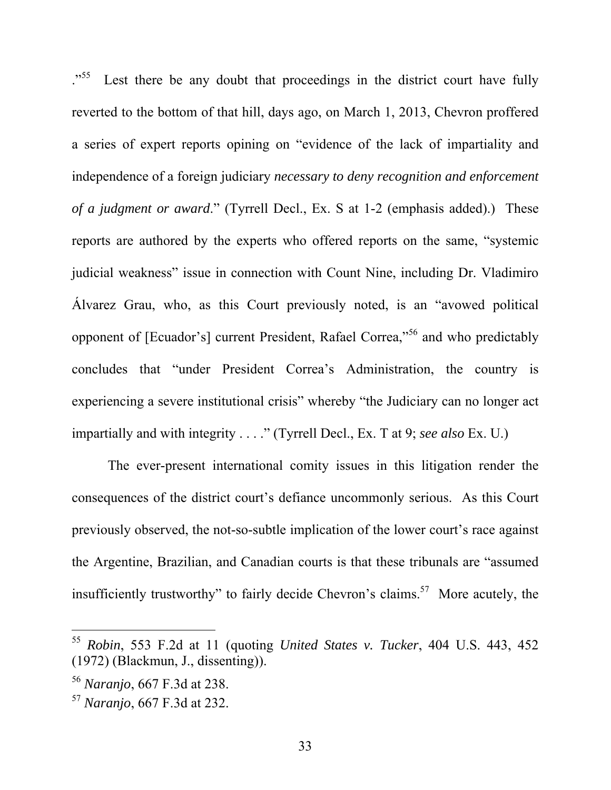<sup>55</sup>. Lest there be any doubt that proceedings in the district court have fully reverted to the bottom of that hill, days ago, on March 1, 2013, Chevron proffered a series of expert reports opining on "evidence of the lack of impartiality and independence of a foreign judiciary *necessary to deny recognition and enforcement of a judgment or award*." (Tyrrell Decl., Ex. S at 1-2 (emphasis added).) These reports are authored by the experts who offered reports on the same, "systemic judicial weakness" issue in connection with Count Nine, including Dr. Vladimiro Álvarez Grau, who, as this Court previously noted, is an "avowed political opponent of [Ecuador's] current President, Rafael Correa,"56 and who predictably concludes that "under President Correa's Administration, the country is experiencing a severe institutional crisis" whereby "the Judiciary can no longer act impartially and with integrity . . . ." (Tyrrell Decl., Ex. T at 9; *see also* Ex. U.)

The ever-present international comity issues in this litigation render the consequences of the district court's defiance uncommonly serious. As this Court previously observed, the not-so-subtle implication of the lower court's race against the Argentine, Brazilian, and Canadian courts is that these tribunals are "assumed insufficiently trustworthy" to fairly decide Chevron's claims.<sup>57</sup> More acutely, the

<sup>55</sup> *Robin*, 553 F.2d at 11 (quoting *United States v. Tucker*, 404 U.S. 443, 452 (1972) (Blackmun, J., dissenting)).

<sup>56</sup> *Naranjo*, 667 F.3d at 238.

<sup>57</sup> *Naranjo*, 667 F.3d at 232.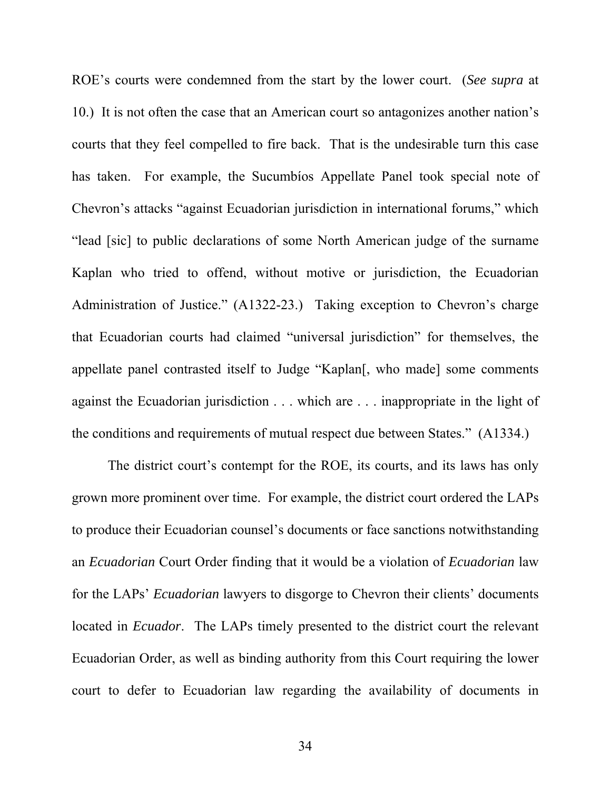ROE's courts were condemned from the start by the lower court. (*See supra* at 10.) It is not often the case that an American court so antagonizes another nation's courts that they feel compelled to fire back. That is the undesirable turn this case has taken. For example, the Sucumbíos Appellate Panel took special note of Chevron's attacks "against Ecuadorian jurisdiction in international forums," which "lead [sic] to public declarations of some North American judge of the surname Kaplan who tried to offend, without motive or jurisdiction, the Ecuadorian Administration of Justice." (A1322-23.) Taking exception to Chevron's charge that Ecuadorian courts had claimed "universal jurisdiction" for themselves, the appellate panel contrasted itself to Judge "Kaplan[, who made] some comments against the Ecuadorian jurisdiction . . . which are . . . inappropriate in the light of the conditions and requirements of mutual respect due between States." (A1334.)

The district court's contempt for the ROE, its courts, and its laws has only grown more prominent over time. For example, the district court ordered the LAPs to produce their Ecuadorian counsel's documents or face sanctions notwithstanding an *Ecuadorian* Court Order finding that it would be a violation of *Ecuadorian* law for the LAPs' *Ecuadorian* lawyers to disgorge to Chevron their clients' documents located in *Ecuador*. The LAPs timely presented to the district court the relevant Ecuadorian Order, as well as binding authority from this Court requiring the lower court to defer to Ecuadorian law regarding the availability of documents in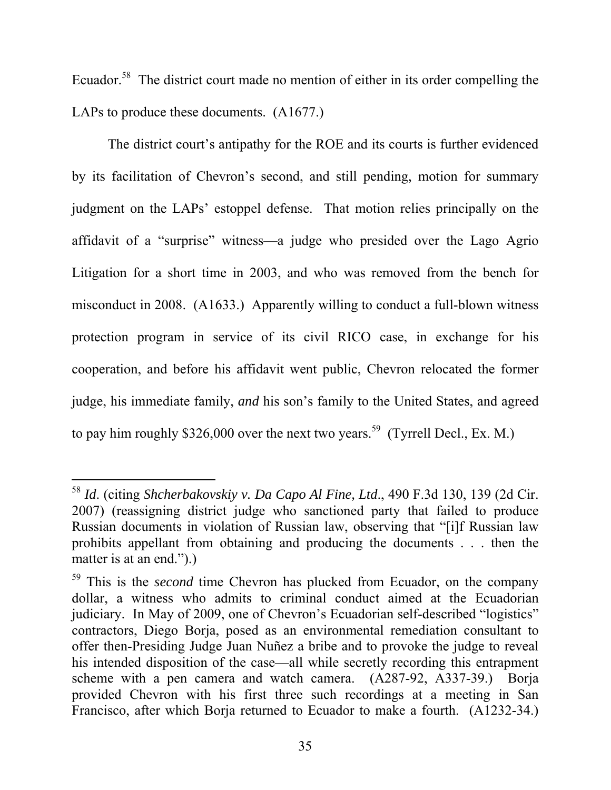Ecuador.<sup>58</sup> The district court made no mention of either in its order compelling the LAPs to produce these documents. (A1677.)

The district court's antipathy for the ROE and its courts is further evidenced by its facilitation of Chevron's second, and still pending, motion for summary judgment on the LAPs' estoppel defense. That motion relies principally on the affidavit of a "surprise" witness—a judge who presided over the Lago Agrio Litigation for a short time in 2003, and who was removed from the bench for misconduct in 2008. (A1633.) Apparently willing to conduct a full-blown witness protection program in service of its civil RICO case, in exchange for his cooperation, and before his affidavit went public, Chevron relocated the former judge, his immediate family, *and* his son's family to the United States, and agreed to pay him roughly \$326,000 over the next two years.<sup>59</sup> (Tyrrell Decl., Ex. M.)

<sup>58</sup> *Id*. (citing *Shcherbakovskiy v. Da Capo Al Fine, Ltd*., 490 F.3d 130, 139 (2d Cir. 2007) (reassigning district judge who sanctioned party that failed to produce Russian documents in violation of Russian law, observing that "[i]f Russian law prohibits appellant from obtaining and producing the documents . . . then the matter is at an end.".)

<sup>59</sup> This is the *second* time Chevron has plucked from Ecuador, on the company dollar, a witness who admits to criminal conduct aimed at the Ecuadorian judiciary. In May of 2009, one of Chevron's Ecuadorian self-described "logistics" contractors, Diego Borja, posed as an environmental remediation consultant to offer then-Presiding Judge Juan Nuñez a bribe and to provoke the judge to reveal his intended disposition of the case—all while secretly recording this entrapment scheme with a pen camera and watch camera. (A287-92, A337-39.) Borja provided Chevron with his first three such recordings at a meeting in San Francisco, after which Borja returned to Ecuador to make a fourth. (A1232-34.)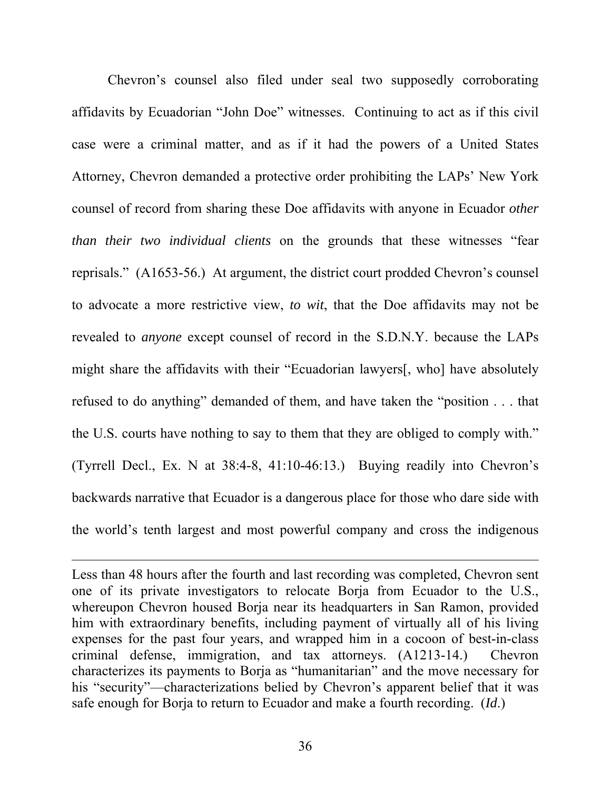Chevron's counsel also filed under seal two supposedly corroborating affidavits by Ecuadorian "John Doe" witnesses. Continuing to act as if this civil case were a criminal matter, and as if it had the powers of a United States Attorney, Chevron demanded a protective order prohibiting the LAPs' New York counsel of record from sharing these Doe affidavits with anyone in Ecuador *other than their two individual clients* on the grounds that these witnesses "fear reprisals." (A1653-56.) At argument, the district court prodded Chevron's counsel to advocate a more restrictive view, *to wit*, that the Doe affidavits may not be revealed to *anyone* except counsel of record in the S.D.N.Y. because the LAPs might share the affidavits with their "Ecuadorian lawyers[, who] have absolutely refused to do anything" demanded of them, and have taken the "position . . . that the U.S. courts have nothing to say to them that they are obliged to comply with." (Tyrrell Decl., Ex. N at 38:4-8, 41:10-46:13.) Buying readily into Chevron's backwards narrative that Ecuador is a dangerous place for those who dare side with the world's tenth largest and most powerful company and cross the indigenous

l

Less than 48 hours after the fourth and last recording was completed, Chevron sent one of its private investigators to relocate Borja from Ecuador to the U.S., whereupon Chevron housed Borja near its headquarters in San Ramon, provided him with extraordinary benefits, including payment of virtually all of his living expenses for the past four years, and wrapped him in a cocoon of best-in-class criminal defense, immigration, and tax attorneys. (A1213-14.) Chevron characterizes its payments to Borja as "humanitarian" and the move necessary for his "security"—characterizations belied by Chevron's apparent belief that it was safe enough for Borja to return to Ecuador and make a fourth recording. (*Id*.)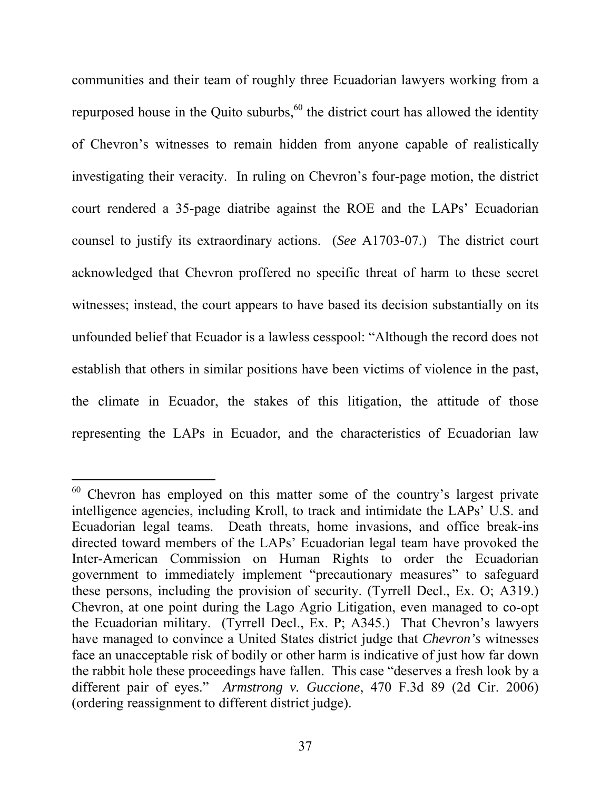communities and their team of roughly three Ecuadorian lawyers working from a repurposed house in the Quito suburbs, $60$  the district court has allowed the identity of Chevron's witnesses to remain hidden from anyone capable of realistically investigating their veracity. In ruling on Chevron's four-page motion, the district court rendered a 35-page diatribe against the ROE and the LAPs' Ecuadorian counsel to justify its extraordinary actions. (*See* A1703-07.) The district court acknowledged that Chevron proffered no specific threat of harm to these secret witnesses; instead, the court appears to have based its decision substantially on its unfounded belief that Ecuador is a lawless cesspool: "Although the record does not establish that others in similar positions have been victims of violence in the past, the climate in Ecuador, the stakes of this litigation, the attitude of those representing the LAPs in Ecuador, and the characteristics of Ecuadorian law

 $60$  Chevron has employed on this matter some of the country's largest private intelligence agencies, including Kroll, to track and intimidate the LAPs' U.S. and Ecuadorian legal teams. Death threats, home invasions, and office break-ins directed toward members of the LAPs' Ecuadorian legal team have provoked the Inter-American Commission on Human Rights to order the Ecuadorian government to immediately implement "precautionary measures" to safeguard these persons, including the provision of security. (Tyrrell Decl., Ex. O; A319.) Chevron, at one point during the Lago Agrio Litigation, even managed to co-opt the Ecuadorian military. (Tyrrell Decl., Ex. P; A345.) That Chevron's lawyers have managed to convince a United States district judge that *Chevron's* witnesses face an unacceptable risk of bodily or other harm is indicative of just how far down the rabbit hole these proceedings have fallen. This case "deserves a fresh look by a different pair of eyes." *Armstrong v. Guccione*, 470 F.3d 89 (2d Cir. 2006) (ordering reassignment to different district judge).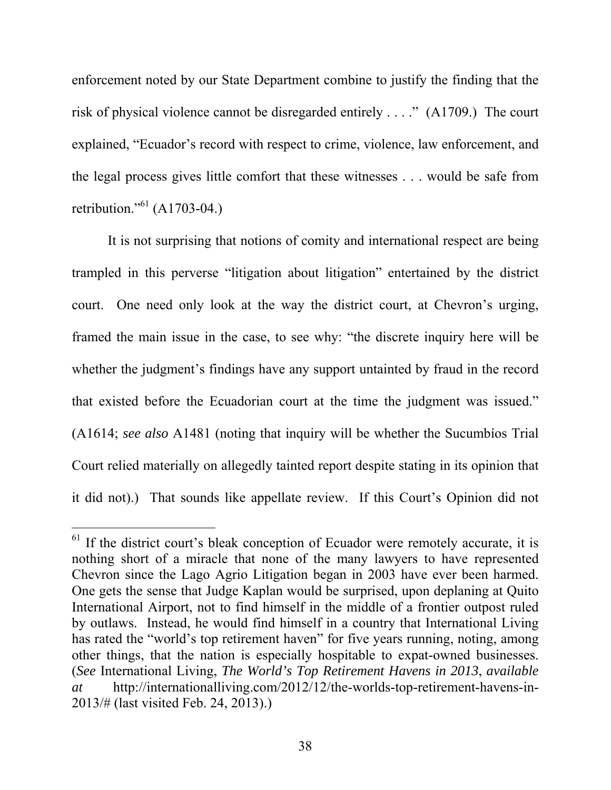enforcement noted by our State Department combine to justify the finding that the risk of physical violence cannot be disregarded entirely . . . ." (A1709.) The court explained, "Ecuador's record with respect to crime, violence, law enforcement, and the legal process gives little comfort that these witnesses . . . would be safe from retribution."<sup>61</sup> (A1703-04.)

It is not surprising that notions of comity and international respect are being trampled in this perverse "litigation about litigation" entertained by the district court. One need only look at the way the district court, at Chevron's urging, framed the main issue in the case, to see why: "the discrete inquiry here will be whether the judgment's findings have any support untainted by fraud in the record that existed before the Ecuadorian court at the time the judgment was issued." (A1614; *see also* A1481 (noting that inquiry will be whether the Sucumbíos Trial Court relied materially on allegedly tainted report despite stating in its opinion that it did not).) That sounds like appellate review. If this Court's Opinion did not

l

 $61$  If the district court's bleak conception of Ecuador were remotely accurate, it is nothing short of a miracle that none of the many lawyers to have represented Chevron since the Lago Agrio Litigation began in 2003 have ever been harmed. One gets the sense that Judge Kaplan would be surprised, upon deplaning at Quito International Airport, not to find himself in the middle of a frontier outpost ruled by outlaws. Instead, he would find himself in a country that International Living has rated the "world's top retirement haven" for five years running, noting, among other things, that the nation is especially hospitable to expat-owned businesses. (*See* International Living, *The World's Top Retirement Havens in 2013*, *available at* http://internationalliving.com/2012/12/the-worlds-top-retirement-havens-in-2013/# (last visited Feb. 24, 2013).)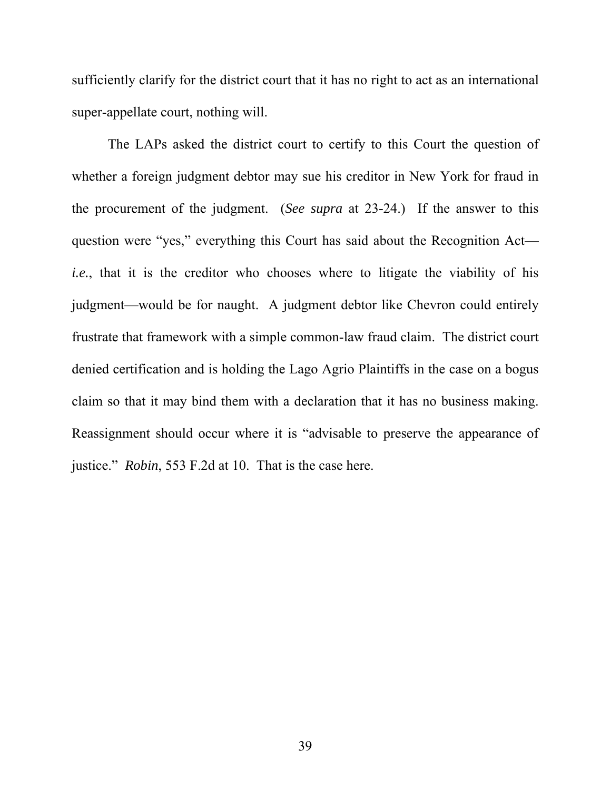sufficiently clarify for the district court that it has no right to act as an international super-appellate court, nothing will.

The LAPs asked the district court to certify to this Court the question of whether a foreign judgment debtor may sue his creditor in New York for fraud in the procurement of the judgment. (*See supra* at 23-24.) If the answer to this question were "yes," everything this Court has said about the Recognition Act *i.e.*, that it is the creditor who chooses where to litigate the viability of his judgment—would be for naught. A judgment debtor like Chevron could entirely frustrate that framework with a simple common-law fraud claim. The district court denied certification and is holding the Lago Agrio Plaintiffs in the case on a bogus claim so that it may bind them with a declaration that it has no business making. Reassignment should occur where it is "advisable to preserve the appearance of justice." *Robin*, 553 F.2d at 10. That is the case here.